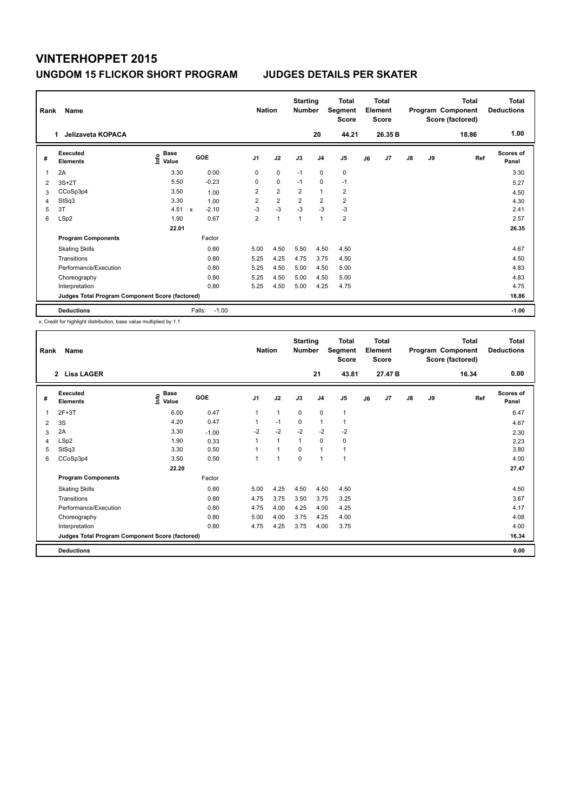| Rank | Name<br>Jelizaveta KOPACA<br>1.                 |                              |             |         | <b>Nation</b>  |                | <b>Starting</b><br><b>Number</b> | 20             | <b>Total</b><br>Segment<br><b>Score</b><br>44.21 |    | <b>Total</b><br>Element<br><b>Score</b><br>26.35 B |               |    | <b>Total</b><br>Program Component<br>Score (factored)<br>18.86 | Total<br><b>Deductions</b><br>1.00 |
|------|-------------------------------------------------|------------------------------|-------------|---------|----------------|----------------|----------------------------------|----------------|--------------------------------------------------|----|----------------------------------------------------|---------------|----|----------------------------------------------------------------|------------------------------------|
| #    | Executed<br><b>Elements</b>                     | <b>Base</b><br>lnfo<br>Value |             | GOE     | J <sub>1</sub> | J2             | J3                               | J <sub>4</sub> | J5                                               | J6 | J7                                                 | $\mathsf{J}8$ | J9 | Ref                                                            | <b>Scores of</b><br>Panel          |
| 1    | 2A                                              | 3.30                         |             | 0.00    | 0              | $\mathbf 0$    | $-1$                             | $\mathbf 0$    | $\mathbf 0$                                      |    |                                                    |               |    |                                                                | 3.30                               |
| 2    | $3S+2T$                                         | 5.50                         |             | $-0.23$ | 0              | $\mathbf 0$    | $-1$                             | $\mathbf 0$    | $-1$                                             |    |                                                    |               |    |                                                                | 5.27                               |
| 3    | CCoSp3p4                                        | 3.50                         |             | 1.00    | $\overline{2}$ | $\overline{2}$ | $\overline{2}$                   | $\overline{1}$ | $\overline{2}$                                   |    |                                                    |               |    |                                                                | 4.50                               |
| 4    | StSq3                                           | 3.30                         |             | 1.00    | $\overline{2}$ | $\overline{2}$ | $\overline{2}$                   | $\overline{2}$ | $\overline{2}$                                   |    |                                                    |               |    |                                                                | 4.30                               |
| 5    | 3T                                              | 4.51                         | $\mathbf x$ | $-2.10$ | $-3$           | $-3$           | $-3$                             | $-3$           | $-3$                                             |    |                                                    |               |    |                                                                | 2.41                               |
| 6    | LSp2                                            | 1.90                         |             | 0.67    | $\overline{2}$ | $\overline{1}$ | $\overline{1}$                   | $\mathbf{1}$   | $\overline{\mathbf{c}}$                          |    |                                                    |               |    |                                                                | 2.57                               |
|      |                                                 | 22.01                        |             |         |                |                |                                  |                |                                                  |    |                                                    |               |    |                                                                | 26.35                              |
|      | <b>Program Components</b>                       |                              |             | Factor  |                |                |                                  |                |                                                  |    |                                                    |               |    |                                                                |                                    |
|      | <b>Skating Skills</b>                           |                              |             | 0.80    | 5.00           | 4.50           | 5.50                             | 4.50           | 4.50                                             |    |                                                    |               |    |                                                                | 4.67                               |
|      | Transitions                                     |                              |             | 0.80    | 5.25           | 4.25           | 4.75                             | 3.75           | 4.50                                             |    |                                                    |               |    |                                                                | 4.50                               |
|      | Performance/Execution                           |                              |             | 0.80    | 5.25           | 4.50           | 5.00                             | 4.50           | 5.00                                             |    |                                                    |               |    |                                                                | 4.83                               |
|      | Choreography                                    |                              |             | 0.80    | 5.25           | 4.50           | 5.00                             | 4.50           | 5.00                                             |    |                                                    |               |    |                                                                | 4.83                               |
|      | Interpretation                                  |                              |             | 0.80    | 5.25           | 4.50           | 5.00                             | 4.25           | 4.75                                             |    |                                                    |               |    |                                                                | 4.75                               |
|      | Judges Total Program Component Score (factored) |                              |             |         |                |                |                                  |                |                                                  |    |                                                    |               |    |                                                                | 18.86                              |
|      | <b>Deductions</b>                               |                              | Falls:      | $-1.00$ |                |                |                                  |                |                                                  |    |                                                    |               |    |                                                                | $-1.00$                            |

x Credit for highlight distribution, base value multiplied by 1.1

| Rank | Name                                            |                              |         | <b>Nation</b>  |              | <b>Starting</b><br><b>Number</b> |                | <b>Total</b><br>Segment<br><b>Score</b> |    | Total<br>Element<br><b>Score</b> |               |    | Total<br>Program Component<br>Score (factored) | Total<br><b>Deductions</b> |
|------|-------------------------------------------------|------------------------------|---------|----------------|--------------|----------------------------------|----------------|-----------------------------------------|----|----------------------------------|---------------|----|------------------------------------------------|----------------------------|
|      | 2 Lisa LAGER                                    |                              |         |                |              |                                  | 21             | 43.81                                   |    | 27.47 B                          |               |    | 16.34                                          | 0.00                       |
| #    | Executed<br><b>Elements</b>                     | <b>Base</b><br>١nfo<br>Value | GOE     | J <sub>1</sub> | J2           | J3                               | J <sub>4</sub> | J <sub>5</sub>                          | J6 | J <sub>7</sub>                   | $\mathsf{J}8$ | J9 | Ref                                            | <b>Scores of</b><br>Panel  |
| 1    | $2F+3T$                                         | 6.00                         | 0.47    | $\mathbf{1}$   | $\mathbf{1}$ | 0                                | $\mathbf 0$    | $\mathbf{1}$                            |    |                                  |               |    |                                                | 6.47                       |
| 2    | 3S                                              | 4.20                         | 0.47    | 1              | $-1$         | 0                                | 1              | $\mathbf{1}$                            |    |                                  |               |    |                                                | 4.67                       |
| 3    | 2A                                              | 3.30                         | $-1.00$ | $-2$           | $-2$         | $-2$                             | $-2$           | $-2$                                    |    |                                  |               |    |                                                | 2.30                       |
| 4    | LSp2                                            | 1.90                         | 0.33    |                | 1            | $\mathbf{1}$                     | 0              | 0                                       |    |                                  |               |    |                                                | 2.23                       |
| 5    | StSq3                                           | 3.30                         | 0.50    |                | 1            | 0                                | 1              | 1                                       |    |                                  |               |    |                                                | 3.80                       |
| 6    | CCoSp3p4                                        | 3.50                         | 0.50    | 1              | 1            | 0                                | 1              | $\mathbf{1}$                            |    |                                  |               |    |                                                | 4.00                       |
|      |                                                 | 22.20                        |         |                |              |                                  |                |                                         |    |                                  |               |    |                                                | 27.47                      |
|      | <b>Program Components</b>                       |                              | Factor  |                |              |                                  |                |                                         |    |                                  |               |    |                                                |                            |
|      | <b>Skating Skills</b>                           |                              | 0.80    | 5.00           | 4.25         | 4.50                             | 4.50           | 4.50                                    |    |                                  |               |    |                                                | 4.50                       |
|      | Transitions                                     |                              | 0.80    | 4.75           | 3.75         | 3.50                             | 3.75           | 3.25                                    |    |                                  |               |    |                                                | 3.67                       |
|      | Performance/Execution                           |                              | 0.80    | 4.75           | 4.00         | 4.25                             | 4.00           | 4.25                                    |    |                                  |               |    |                                                | 4.17                       |
|      | Choreography                                    |                              | 0.80    | 5.00           | 4.00         | 3.75                             | 4.25           | 4.00                                    |    |                                  |               |    |                                                | 4.08                       |
|      | Interpretation                                  |                              | 0.80    | 4.75           | 4.25         | 3.75                             | 4.00           | 3.75                                    |    |                                  |               |    |                                                | 4.00                       |
|      | Judges Total Program Component Score (factored) |                              |         |                |              |                                  |                |                                         |    |                                  |               |    |                                                | 16.34                      |
|      | <b>Deductions</b>                               |                              |         |                |              |                                  |                |                                         |    |                                  |               |    |                                                | 0.00                       |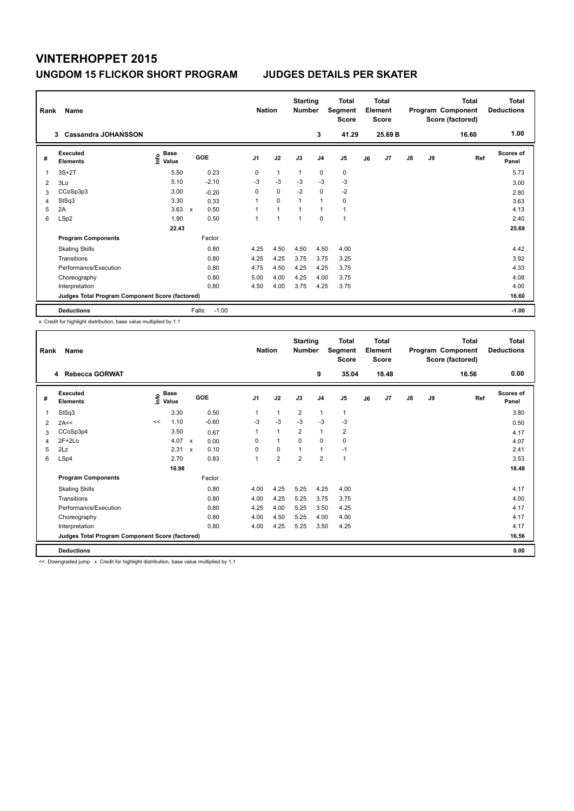| Rank | Name<br><b>Cassandra JOHANSSON</b><br>3         |                              |                     |         | <b>Nation</b>  |                | <b>Starting</b><br><b>Number</b> | 3              | <b>Total</b><br>Segment<br><b>Score</b><br>41.29 |    | <b>Total</b><br>Element<br><b>Score</b><br>25.69 B |               |    | <b>Total</b><br>Program Component<br>Score (factored)<br>16.60 | Total<br><b>Deductions</b><br>1.00 |
|------|-------------------------------------------------|------------------------------|---------------------|---------|----------------|----------------|----------------------------------|----------------|--------------------------------------------------|----|----------------------------------------------------|---------------|----|----------------------------------------------------------------|------------------------------------|
|      |                                                 |                              |                     |         |                |                |                                  |                |                                                  |    |                                                    |               |    |                                                                |                                    |
| #    | Executed<br><b>Elements</b>                     | <b>Base</b><br>lnfo<br>Value | GOE                 |         | J <sub>1</sub> | J2             | J3                               | J <sub>4</sub> | J5                                               | J6 | J7                                                 | $\mathsf{J}8$ | J9 | Ref                                                            | <b>Scores of</b><br>Panel          |
| 1    | $3S+2T$                                         | 5.50                         | 0.23                |         | 0              | $\mathbf{1}$   | $\mathbf{1}$                     | $\mathbf 0$    | $\mathbf 0$                                      |    |                                                    |               |    |                                                                | 5.73                               |
| 2    | 3Lo                                             | 5.10                         | $-2.10$             |         | $-3$           | $-3$           | $-3$                             | $-3$           | $-3$                                             |    |                                                    |               |    |                                                                | 3.00                               |
| 3    | CCoSp3p3                                        | 3.00                         | $-0.20$             |         | 0              | $\mathbf 0$    | $-2$                             | $\mathbf 0$    | $-2$                                             |    |                                                    |               |    |                                                                | 2.80                               |
| 4    | StSq3                                           | 3.30                         | 0.33                |         | 1              | $\Omega$       | $\overline{1}$                   | $\overline{1}$ | $\mathbf 0$                                      |    |                                                    |               |    |                                                                | 3.63                               |
| 5    | 2A                                              | 3.63                         | 0.50<br>$\mathbf x$ |         |                | $\overline{1}$ | $\overline{1}$                   | $\overline{1}$ | $\mathbf{1}$                                     |    |                                                    |               |    |                                                                | 4.13                               |
| 6    | LSp2                                            | 1.90                         | 0.50                |         | 1              | 1              | $\overline{1}$                   | $\Omega$       | $\mathbf{1}$                                     |    |                                                    |               |    |                                                                | 2.40                               |
|      |                                                 | 22.43                        |                     |         |                |                |                                  |                |                                                  |    |                                                    |               |    |                                                                | 25.69                              |
|      | <b>Program Components</b>                       |                              | Factor              |         |                |                |                                  |                |                                                  |    |                                                    |               |    |                                                                |                                    |
|      | <b>Skating Skills</b>                           |                              | 0.80                |         | 4.25           | 4.50           | 4.50                             | 4.50           | 4.00                                             |    |                                                    |               |    |                                                                | 4.42                               |
|      | Transitions                                     |                              | 0.80                |         | 4.25           | 4.25           | 3.75                             | 3.75           | 3.25                                             |    |                                                    |               |    |                                                                | 3.92                               |
|      | Performance/Execution                           |                              | 0.80                |         | 4.75           | 4.50           | 4.25                             | 4.25           | 3.75                                             |    |                                                    |               |    |                                                                | 4.33                               |
|      | Choreography                                    |                              | 0.80                |         | 5.00           | 4.00           | 4.25                             | 4.00           | 3.75                                             |    |                                                    |               |    |                                                                | 4.08                               |
|      | Interpretation                                  |                              | 0.80                |         | 4.50           | 4.00           | 3.75                             | 4.25           | 3.75                                             |    |                                                    |               |    |                                                                | 4.00                               |
|      | Judges Total Program Component Score (factored) |                              |                     |         |                |                |                                  |                |                                                  |    |                                                    |               |    |                                                                | 16.60                              |
|      | <b>Deductions</b>                               |                              | Falls:              | $-1.00$ |                |                |                                  |                |                                                  |    |                                                    |               |    |                                                                | $-1.00$                            |

x Credit for highlight distribution, base value multiplied by 1.1

| Rank | Name                                            |    |                                  |              |            | <b>Nation</b>  |                | <b>Starting</b><br><b>Number</b> |                | Total<br>Segment<br><b>Score</b> |    | <b>Total</b><br>Element<br><b>Score</b> |               |    | <b>Total</b><br>Program Component<br>Score (factored) | <b>Total</b><br><b>Deductions</b> |
|------|-------------------------------------------------|----|----------------------------------|--------------|------------|----------------|----------------|----------------------------------|----------------|----------------------------------|----|-----------------------------------------|---------------|----|-------------------------------------------------------|-----------------------------------|
|      | 4 Rebecca GORWAT                                |    |                                  |              |            |                |                |                                  | 9              | 35.04                            |    | 18.48                                   |               |    | 16.56                                                 | 0.00                              |
| #    | Executed<br><b>Elements</b>                     |    | <b>Base</b><br>e Base<br>⊆ Value |              | <b>GOE</b> | J <sub>1</sub> | J2             | J3                               | J <sub>4</sub> | J <sub>5</sub>                   | J6 | J7                                      | $\mathsf{J}8$ | J9 | Ref                                                   | Scores of<br>Panel                |
| 1    | StSq3                                           |    | 3.30                             |              | 0.50       | 1              | 1              | $\overline{2}$                   | 1              | 1                                |    |                                         |               |    |                                                       | 3.80                              |
| 2    | 2A<<                                            | << | 1.10                             |              | $-0.60$    | $-3$           | $-3$           | $-3$                             | $-3$           | $-3$                             |    |                                         |               |    |                                                       | 0.50                              |
| 3    | CCoSp3p4                                        |    | 3.50                             |              | 0.67       | 1              | 1              | $\overline{2}$                   | $\mathbf{1}$   | $\overline{2}$                   |    |                                         |               |    |                                                       | 4.17                              |
| 4    | $2F+2Lo$                                        |    | 4.07                             | $\mathsf{x}$ | 0.00       | 0              | 1              | $\Omega$                         | $\mathbf 0$    | 0                                |    |                                         |               |    |                                                       | 4.07                              |
| 5    | 2Lz                                             |    | 2.31                             | $\mathsf{x}$ | 0.10       | 0              | 0              | 1                                | $\mathbf{1}$   | $-1$                             |    |                                         |               |    |                                                       | 2.41                              |
| 6    | LSp4                                            |    | 2.70                             |              | 0.83       | 1              | $\overline{2}$ | $\overline{2}$                   | $\overline{2}$ | 1                                |    |                                         |               |    |                                                       | 3.53                              |
|      |                                                 |    | 16.98                            |              |            |                |                |                                  |                |                                  |    |                                         |               |    |                                                       | 18.48                             |
|      | <b>Program Components</b>                       |    |                                  |              | Factor     |                |                |                                  |                |                                  |    |                                         |               |    |                                                       |                                   |
|      | <b>Skating Skills</b>                           |    |                                  |              | 0.80       | 4.00           | 4.25           | 5.25                             | 4.25           | 4.00                             |    |                                         |               |    |                                                       | 4.17                              |
|      | Transitions                                     |    |                                  |              | 0.80       | 4.00           | 4.25           | 5.25                             | 3.75           | 3.75                             |    |                                         |               |    |                                                       | 4.00                              |
|      | Performance/Execution                           |    |                                  |              | 0.80       | 4.25           | 4.00           | 5.25                             | 3.50           | 4.25                             |    |                                         |               |    |                                                       | 4.17                              |
|      | Choreography                                    |    |                                  |              | 0.80       | 4.00           | 4.50           | 5.25                             | 4.00           | 4.00                             |    |                                         |               |    |                                                       | 4.17                              |
|      | Interpretation                                  |    |                                  |              | 0.80       | 4.00           | 4.25           | 5.25                             | 3.50           | 4.25                             |    |                                         |               |    |                                                       | 4.17                              |
|      | Judges Total Program Component Score (factored) |    |                                  |              |            |                |                |                                  |                |                                  |    |                                         |               |    |                                                       | 16.56                             |
|      | <b>Deductions</b>                               |    |                                  |              |            |                |                |                                  |                |                                  |    |                                         |               |    |                                                       | 0.00                              |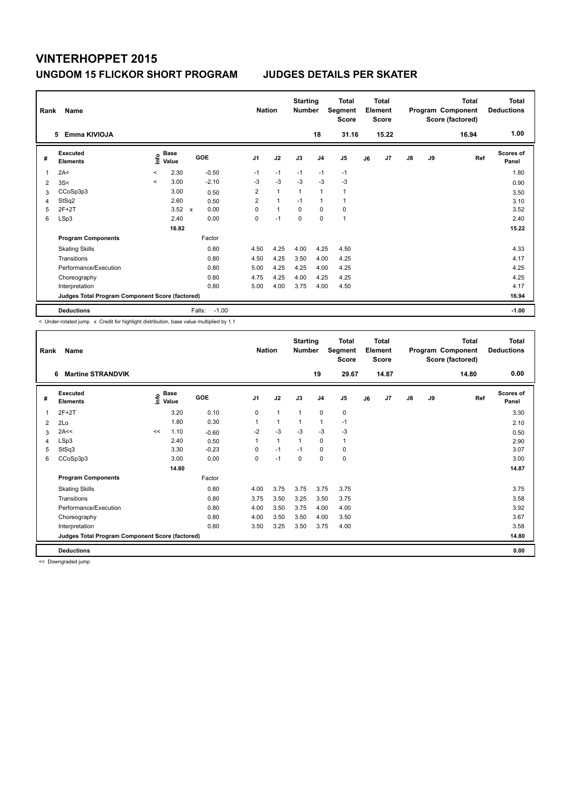| Rank | Name<br>Emma KIVIOJA<br>5                       |         |                      |                     | <b>Nation</b>  |                | <b>Starting</b><br><b>Number</b> | 18             | Total<br>Segment<br><b>Score</b><br>31.16 |    | <b>Total</b><br>Element<br><b>Score</b><br>15.22 |               |    | <b>Total</b><br>Program Component<br>Score (factored)<br>16.94 | Total<br><b>Deductions</b><br>1.00 |
|------|-------------------------------------------------|---------|----------------------|---------------------|----------------|----------------|----------------------------------|----------------|-------------------------------------------|----|--------------------------------------------------|---------------|----|----------------------------------------------------------------|------------------------------------|
| #    | Executed<br><b>Elements</b>                     | ١nf٥    | <b>Base</b><br>Value | GOE                 | J <sub>1</sub> | J2             | J3                               | J <sub>4</sub> | J5                                        | J6 | J <sub>7</sub>                                   | $\mathsf{J}8$ | J9 | Ref                                                            | <b>Scores of</b><br>Panel          |
| 1    | 2A<                                             | $\,<\,$ | 2.30                 | $-0.50$             | $-1$           | $-1$           | $-1$                             | $-1$           | $-1$                                      |    |                                                  |               |    |                                                                | 1.80                               |
| 2    | 3S<                                             | $\prec$ | 3.00                 | $-2.10$             | $-3$           | $-3$           | $-3$                             | $-3$           | $-3$                                      |    |                                                  |               |    |                                                                | 0.90                               |
| 3    | CCoSp3p3                                        |         | 3.00                 | 0.50                | 2              | $\overline{1}$ | $\overline{1}$                   | $\overline{1}$ | 1                                         |    |                                                  |               |    |                                                                | 3.50                               |
| 4    | StSq2                                           |         | 2.60                 | 0.50                | $\overline{2}$ | $\overline{1}$ | $-1$                             | $\mathbf{1}$   | 1                                         |    |                                                  |               |    |                                                                | 3.10                               |
| 5    | $2F+2T$                                         |         | 3.52                 | 0.00<br>$\mathbf x$ | $\Omega$       | $\mathbf{1}$   | $\Omega$                         | $\Omega$       | $\mathbf 0$                               |    |                                                  |               |    |                                                                | 3.52                               |
| 6    | LSp3                                            |         | 2.40                 | 0.00                | 0              | $-1$           | $\pmb{0}$                        | $\mathbf 0$    | $\mathbf{1}$                              |    |                                                  |               |    |                                                                | 2.40                               |
|      |                                                 |         | 16.82                |                     |                |                |                                  |                |                                           |    |                                                  |               |    |                                                                | 15.22                              |
|      | <b>Program Components</b>                       |         |                      | Factor              |                |                |                                  |                |                                           |    |                                                  |               |    |                                                                |                                    |
|      | <b>Skating Skills</b>                           |         |                      | 0.80                | 4.50           | 4.25           | 4.00                             | 4.25           | 4.50                                      |    |                                                  |               |    |                                                                | 4.33                               |
|      | Transitions                                     |         |                      | 0.80                | 4.50           | 4.25           | 3.50                             | 4.00           | 4.25                                      |    |                                                  |               |    |                                                                | 4.17                               |
|      | Performance/Execution                           |         |                      | 0.80                | 5.00           | 4.25           | 4.25                             | 4.00           | 4.25                                      |    |                                                  |               |    |                                                                | 4.25                               |
|      | Choreography                                    |         |                      | 0.80                | 4.75           | 4.25           | 4.00                             | 4.25           | 4.25                                      |    |                                                  |               |    |                                                                | 4.25                               |
|      | Interpretation                                  |         |                      | 0.80                | 5.00           | 4.00           | 3.75                             | 4.00           | 4.50                                      |    |                                                  |               |    |                                                                | 4.17                               |
|      | Judges Total Program Component Score (factored) |         |                      |                     |                |                |                                  |                |                                           |    |                                                  |               |    |                                                                | 16.94                              |
|      | <b>Deductions</b>                               |         |                      | $-1.00$<br>Falls:   |                |                |                                  |                |                                           |    |                                                  |               |    |                                                                | $-1.00$                            |

< Under-rotated jump x Credit for highlight distribution, base value multiplied by 1.1

| Rank | Name                                            |    |                                  |         | <b>Nation</b>  |              | <b>Starting</b><br><b>Number</b> |                | Total<br>Segment<br><b>Score</b> |    | Total<br>Element<br><b>Score</b> |    |    | <b>Total</b><br>Program Component<br>Score (factored) | <b>Total</b><br><b>Deductions</b> |
|------|-------------------------------------------------|----|----------------------------------|---------|----------------|--------------|----------------------------------|----------------|----------------------------------|----|----------------------------------|----|----|-------------------------------------------------------|-----------------------------------|
|      | <b>Martine STRANDVIK</b><br>6                   |    |                                  |         |                |              |                                  | 19             | 29.67                            |    | 14.87                            |    |    | 14.80                                                 | 0.00                              |
| #    | Executed<br><b>Elements</b>                     |    | <b>Base</b><br>e Base<br>⊆ Value | GOE     | J <sub>1</sub> | J2           | J3                               | J <sub>4</sub> | J <sub>5</sub>                   | J6 | J7                               | J8 | J9 | Ref                                                   | <b>Scores of</b><br>Panel         |
| 1    | $2F+2T$                                         |    | 3.20                             | 0.10    | 0              | $\mathbf{1}$ | $\mathbf{1}$                     | $\mathbf 0$    | 0                                |    |                                  |    |    |                                                       | 3.30                              |
| 2    | 2Lo                                             |    | 1.80                             | 0.30    | 1              | $\mathbf{1}$ | $\mathbf{1}$                     | $\mathbf{1}$   | $-1$                             |    |                                  |    |    |                                                       | 2.10                              |
| 3    | 2A<<                                            | << | 1.10                             | $-0.60$ | $-2$           | $-3$         | $-3$                             | $-3$           | $-3$                             |    |                                  |    |    |                                                       | 0.50                              |
| 4    | LSp3                                            |    | 2.40                             | 0.50    | 1              | $\mathbf{1}$ | $\mathbf{1}$                     | 0              | 1                                |    |                                  |    |    |                                                       | 2.90                              |
| 5    | StSq3                                           |    | 3.30                             | $-0.23$ | 0              | $-1$         | $-1$                             | 0              | 0                                |    |                                  |    |    |                                                       | 3.07                              |
| 6    | CCoSp3p3                                        |    | 3.00                             | 0.00    | 0              | $-1$         | $\mathbf 0$                      | $\mathbf 0$    | 0                                |    |                                  |    |    |                                                       | 3.00                              |
|      |                                                 |    | 14.80                            |         |                |              |                                  |                |                                  |    |                                  |    |    |                                                       | 14.87                             |
|      | <b>Program Components</b>                       |    |                                  | Factor  |                |              |                                  |                |                                  |    |                                  |    |    |                                                       |                                   |
|      | <b>Skating Skills</b>                           |    |                                  | 0.80    | 4.00           | 3.75         | 3.75                             | 3.75           | 3.75                             |    |                                  |    |    |                                                       | 3.75                              |
|      | Transitions                                     |    |                                  | 0.80    | 3.75           | 3.50         | 3.25                             | 3.50           | 3.75                             |    |                                  |    |    |                                                       | 3.58                              |
|      | Performance/Execution                           |    |                                  | 0.80    | 4.00           | 3.50         | 3.75                             | 4.00           | 4.00                             |    |                                  |    |    |                                                       | 3.92                              |
|      | Choreography                                    |    |                                  | 0.80    | 4.00           | 3.50         | 3.50                             | 4.00           | 3.50                             |    |                                  |    |    |                                                       | 3.67                              |
|      | Interpretation                                  |    |                                  | 0.80    | 3.50           | 3.25         | 3.50                             | 3.75           | 4.00                             |    |                                  |    |    |                                                       | 3.58                              |
|      | Judges Total Program Component Score (factored) |    |                                  |         |                |              |                                  |                |                                  |    |                                  |    |    |                                                       | 14.80                             |
|      | <b>Deductions</b>                               |    |                                  |         |                |              |                                  |                |                                  |    |                                  |    |    |                                                       | 0.00                              |

<< Downgraded jump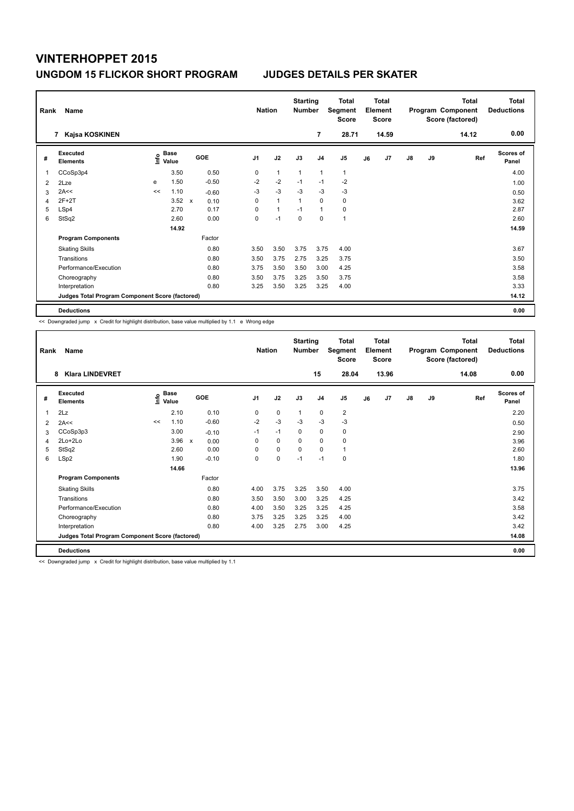| Rank | Name                                            |      |                      |              |         | <b>Nation</b>  |                | <b>Starting</b><br><b>Number</b> |                | Total<br>Segment<br><b>Score</b> |    | <b>Total</b><br>Element<br><b>Score</b> |               |    | <b>Total</b><br>Program Component<br>Score (factored) | <b>Total</b><br><b>Deductions</b> |
|------|-------------------------------------------------|------|----------------------|--------------|---------|----------------|----------------|----------------------------------|----------------|----------------------------------|----|-----------------------------------------|---------------|----|-------------------------------------------------------|-----------------------------------|
|      | Kajsa KOSKINEN<br>7                             |      |                      |              |         |                |                |                                  | 7              | 28.71                            |    | 14.59                                   |               |    | 14.12                                                 | 0.00                              |
| #    | Executed<br><b>Elements</b>                     | ١nf٥ | <b>Base</b><br>Value |              | GOE     | J <sub>1</sub> | J2             | J3                               | J <sub>4</sub> | J <sub>5</sub>                   | J6 | J7                                      | $\mathsf{J}8$ | J9 | Ref                                                   | <b>Scores of</b><br>Panel         |
| 1    | CCoSp3p4                                        |      | 3.50                 |              | 0.50    | 0              | $\overline{1}$ | $\overline{1}$                   | $\mathbf{1}$   | 1                                |    |                                         |               |    |                                                       | 4.00                              |
| 2    | 2Lze                                            | e    | 1.50                 |              | $-0.50$ | $-2$           | $-2$           | $-1$                             | $-1$           | $-2$                             |    |                                         |               |    |                                                       | 1.00                              |
| 3    | 2A<<                                            | <<   | 1.10                 |              | $-0.60$ | $-3$           | $-3$           | $-3$                             | $-3$           | $-3$                             |    |                                         |               |    |                                                       | 0.50                              |
| 4    | $2F+2T$                                         |      | 3.52                 | $\mathsf{x}$ | 0.10    | 0              | $\overline{1}$ | $\mathbf{1}$                     | $\mathbf 0$    | 0                                |    |                                         |               |    |                                                       | 3.62                              |
| 5    | LSp4                                            |      | 2.70                 |              | 0.17    | 0              | $\mathbf{1}$   | $-1$                             | $\mathbf{1}$   | 0                                |    |                                         |               |    |                                                       | 2.87                              |
| 6    | StSq2                                           |      | 2.60                 |              | 0.00    | 0              | $-1$           | 0                                | 0              | 1                                |    |                                         |               |    |                                                       | 2.60                              |
|      |                                                 |      | 14.92                |              |         |                |                |                                  |                |                                  |    |                                         |               |    |                                                       | 14.59                             |
|      | <b>Program Components</b>                       |      |                      |              | Factor  |                |                |                                  |                |                                  |    |                                         |               |    |                                                       |                                   |
|      | <b>Skating Skills</b>                           |      |                      |              | 0.80    | 3.50           | 3.50           | 3.75                             | 3.75           | 4.00                             |    |                                         |               |    |                                                       | 3.67                              |
|      | Transitions                                     |      |                      |              | 0.80    | 3.50           | 3.75           | 2.75                             | 3.25           | 3.75                             |    |                                         |               |    |                                                       | 3.50                              |
|      | Performance/Execution                           |      |                      |              | 0.80    | 3.75           | 3.50           | 3.50                             | 3.00           | 4.25                             |    |                                         |               |    |                                                       | 3.58                              |
|      | Choreography                                    |      |                      |              | 0.80    | 3.50           | 3.75           | 3.25                             | 3.50           | 3.75                             |    |                                         |               |    |                                                       | 3.58                              |
|      | Interpretation                                  |      |                      |              | 0.80    | 3.25           | 3.50           | 3.25                             | 3.25           | 4.00                             |    |                                         |               |    |                                                       | 3.33                              |
|      | Judges Total Program Component Score (factored) |      |                      |              |         |                |                |                                  |                |                                  |    |                                         |               |    |                                                       | 14.12                             |
|      | <b>Deductions</b>                               |      |                      |              |         |                |                |                                  |                |                                  |    |                                         |               |    |                                                       | 0.00                              |

<< Downgraded jump x Credit for highlight distribution, base value multiplied by 1.1 e Wrong edge

| Rank | Name                                            |      |                      |                                   | <b>Nation</b>  |             | <b>Starting</b><br><b>Number</b> |                | <b>Total</b><br>Segment<br><b>Score</b> |    | Total<br>Element<br><b>Score</b> |               |    | <b>Total</b><br>Program Component<br>Score (factored) | <b>Total</b><br><b>Deductions</b> |
|------|-------------------------------------------------|------|----------------------|-----------------------------------|----------------|-------------|----------------------------------|----------------|-----------------------------------------|----|----------------------------------|---------------|----|-------------------------------------------------------|-----------------------------------|
|      | <b>Klara LINDEVRET</b><br>8                     |      |                      |                                   |                |             |                                  | 15             | 28.04                                   |    | 13.96                            |               |    | 14.08                                                 | 0.00                              |
| #    | Executed<br><b>Elements</b>                     | lnfo | <b>Base</b><br>Value | GOE                               | J <sub>1</sub> | J2          | J3                               | J <sub>4</sub> | J5                                      | J6 | J7                               | $\mathsf{J}8$ | J9 | Ref                                                   | <b>Scores of</b><br>Panel         |
| 1    | 2Lz                                             |      | 2.10                 | 0.10                              | 0              | $\mathbf 0$ | $\mathbf{1}$                     | $\mathbf 0$    | $\overline{2}$                          |    |                                  |               |    |                                                       | 2.20                              |
| 2    | 2A<<                                            | <<   | 1.10                 | $-0.60$                           | $-2$           | $-3$        | -3                               | $-3$           | $-3$                                    |    |                                  |               |    |                                                       | 0.50                              |
| 3    | CCoSp3p3                                        |      | 3.00                 | $-0.10$                           | $-1$           | $-1$        | 0                                | $\mathbf 0$    | 0                                       |    |                                  |               |    |                                                       | 2.90                              |
| 4    | 2Lo+2Lo                                         |      | 3.96                 | $\boldsymbol{\mathsf{x}}$<br>0.00 | 0              | 0           | $\Omega$                         | 0              | 0                                       |    |                                  |               |    |                                                       | 3.96                              |
| 5    | StSq2                                           |      | 2.60                 | 0.00                              | $\Omega$       | $\mathbf 0$ | $\Omega$                         | $\Omega$       | 1                                       |    |                                  |               |    |                                                       | 2.60                              |
| 6    | LSp2                                            |      | 1.90                 | $-0.10$                           | 0              | $\mathbf 0$ | $-1$                             | $-1$           | 0                                       |    |                                  |               |    |                                                       | 1.80                              |
|      |                                                 |      | 14.66                |                                   |                |             |                                  |                |                                         |    |                                  |               |    |                                                       | 13.96                             |
|      | <b>Program Components</b>                       |      |                      | Factor                            |                |             |                                  |                |                                         |    |                                  |               |    |                                                       |                                   |
|      | <b>Skating Skills</b>                           |      |                      | 0.80                              | 4.00           | 3.75        | 3.25                             | 3.50           | 4.00                                    |    |                                  |               |    |                                                       | 3.75                              |
|      | Transitions                                     |      |                      | 0.80                              | 3.50           | 3.50        | 3.00                             | 3.25           | 4.25                                    |    |                                  |               |    |                                                       | 3.42                              |
|      | Performance/Execution                           |      |                      | 0.80                              | 4.00           | 3.50        | 3.25                             | 3.25           | 4.25                                    |    |                                  |               |    |                                                       | 3.58                              |
|      | Choreography                                    |      |                      | 0.80                              | 3.75           | 3.25        | 3.25                             | 3.25           | 4.00                                    |    |                                  |               |    |                                                       | 3.42                              |
|      | Interpretation                                  |      |                      | 0.80                              | 4.00           | 3.25        | 2.75                             | 3.00           | 4.25                                    |    |                                  |               |    |                                                       | 3.42                              |
|      | Judges Total Program Component Score (factored) |      |                      |                                   |                |             |                                  |                |                                         |    |                                  |               |    |                                                       | 14.08                             |
|      | <b>Deductions</b>                               |      |                      |                                   |                |             |                                  |                |                                         |    |                                  |               |    |                                                       | 0.00                              |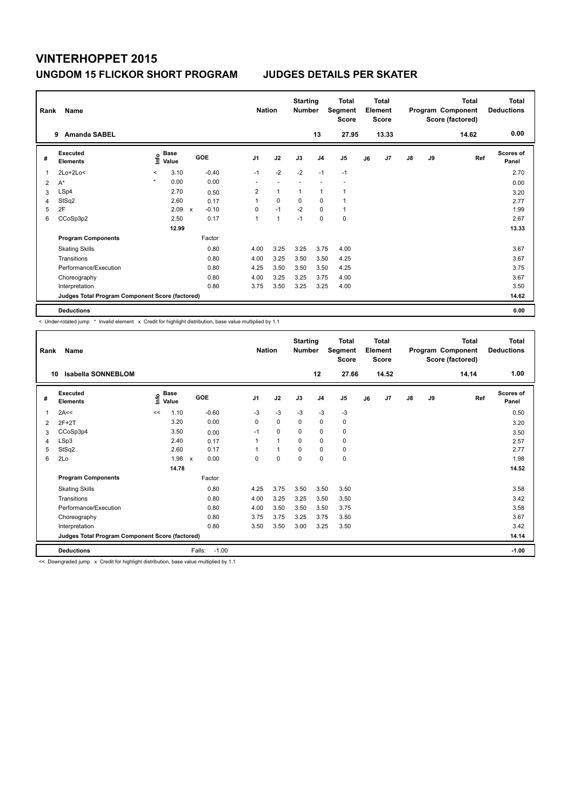| Rank | Name                                            |         |                      |              |         |                          | <b>Nation</b> | <b>Starting</b><br><b>Number</b> |                | Total<br>Segment<br><b>Score</b> |    | <b>Total</b><br>Element<br><b>Score</b> |               |    | <b>Total</b><br>Program Component<br>Score (factored) | <b>Total</b><br><b>Deductions</b> |
|------|-------------------------------------------------|---------|----------------------|--------------|---------|--------------------------|---------------|----------------------------------|----------------|----------------------------------|----|-----------------------------------------|---------------|----|-------------------------------------------------------|-----------------------------------|
|      | <b>Amanda SABEL</b><br>9                        |         |                      |              |         |                          |               |                                  | 13             | 27.95                            |    | 13.33                                   |               |    | 14.62                                                 | 0.00                              |
| #    | Executed<br><b>Elements</b>                     | ١nf٥    | <b>Base</b><br>Value |              | GOE     | J <sub>1</sub>           | J2            | J3                               | J <sub>4</sub> | J5                               | J6 | J7                                      | $\mathsf{J}8$ | J9 | Ref                                                   | <b>Scores of</b><br>Panel         |
| 1    | $2Lo+2Lo<$                                      | $\,<\,$ | 3.10                 |              | $-0.40$ | $-1$                     | $-2$          | $-2$                             | $-1$           | $-1$                             |    |                                         |               |    |                                                       | 2.70                              |
| 2    | $A^*$                                           | $\star$ | 0.00                 |              | 0.00    | $\overline{\phantom{a}}$ |               |                                  |                | ٠                                |    |                                         |               |    |                                                       | 0.00                              |
| 3    | LSp4                                            |         | 2.70                 |              | 0.50    | $\overline{2}$           | $\mathbf{1}$  | $\overline{1}$                   | $\overline{1}$ | $\overline{1}$                   |    |                                         |               |    |                                                       | 3.20                              |
| 4    | StSq2                                           |         | 2.60                 |              | 0.17    | 1                        | $\mathbf 0$   | 0                                | 0              | $\mathbf{1}$                     |    |                                         |               |    |                                                       | 2.77                              |
| 5    | 2F                                              |         | 2.09                 | $\mathsf{x}$ | $-0.10$ | 0                        | $-1$          | $-2$                             | 0              | $\mathbf{1}$                     |    |                                         |               |    |                                                       | 1.99                              |
| 6    | CCoSp3p2                                        |         | 2.50                 |              | 0.17    | 1                        | 1             | $-1$                             | 0              | 0                                |    |                                         |               |    |                                                       | 2.67                              |
|      |                                                 |         | 12.99                |              |         |                          |               |                                  |                |                                  |    |                                         |               |    |                                                       | 13.33                             |
|      | <b>Program Components</b>                       |         |                      |              | Factor  |                          |               |                                  |                |                                  |    |                                         |               |    |                                                       |                                   |
|      | <b>Skating Skills</b>                           |         |                      |              | 0.80    | 4.00                     | 3.25          | 3.25                             | 3.75           | 4.00                             |    |                                         |               |    |                                                       | 3.67                              |
|      | Transitions                                     |         |                      |              | 0.80    | 4.00                     | 3.25          | 3.50                             | 3.50           | 4.25                             |    |                                         |               |    |                                                       | 3.67                              |
|      | Performance/Execution                           |         |                      |              | 0.80    | 4.25                     | 3.50          | 3.50                             | 3.50           | 4.25                             |    |                                         |               |    |                                                       | 3.75                              |
|      | Choreography                                    |         |                      |              | 0.80    | 4.00                     | 3.25          | 3.25                             | 3.75           | 4.00                             |    |                                         |               |    |                                                       | 3.67                              |
|      | Interpretation                                  |         |                      |              | 0.80    | 3.75                     | 3.50          | 3.25                             | 3.25           | 4.00                             |    |                                         |               |    |                                                       | 3.50                              |
|      | Judges Total Program Component Score (factored) |         |                      |              |         |                          |               |                                  |                |                                  |    |                                         |               |    |                                                       | 14.62                             |
|      | <b>Deductions</b>                               |         |                      |              |         |                          |               |                                  |                |                                  |    |                                         |               |    |                                                       | 0.00                              |

< Under-rotated jump \* Invalid element x Credit for highlight distribution, base value multiplied by 1.1

| Rank<br>10 | Name<br>Isabella SONNEBLOM                      |      |                      |                      | <b>Nation</b>  |              | <b>Starting</b><br><b>Number</b> | 12             | <b>Total</b><br>Segment<br><b>Score</b><br>27.66 |    | <b>Total</b><br>Element<br><b>Score</b><br>14.52 |               |    | <b>Total</b><br>Program Component<br>Score (factored)<br>14.14 | <b>Total</b><br><b>Deductions</b><br>1.00 |
|------------|-------------------------------------------------|------|----------------------|----------------------|----------------|--------------|----------------------------------|----------------|--------------------------------------------------|----|--------------------------------------------------|---------------|----|----------------------------------------------------------------|-------------------------------------------|
| #          | Executed<br><b>Elements</b>                     | ١nfo | <b>Base</b><br>Value | <b>GOE</b>           | J <sub>1</sub> | J2           | J3                               | J <sub>4</sub> | J5                                               | J6 | J7                                               | $\mathsf{J}8$ | J9 | Ref                                                            | <b>Scores of</b><br>Panel                 |
| 1          | 2A<<                                            | <<   | 1.10                 | $-0.60$              | $-3$           | $-3$         | $-3$                             | $-3$           | $-3$                                             |    |                                                  |               |    |                                                                | 0.50                                      |
| 2          | $2F+2T$                                         |      | 3.20                 | 0.00                 | 0              | $\mathbf 0$  | $\mathbf 0$                      | $\mathbf 0$    | 0                                                |    |                                                  |               |    |                                                                | 3.20                                      |
| 3          | CCoSp3p4                                        |      | 3.50                 | 0.00                 | $-1$           | $\mathbf 0$  | $\Omega$                         | $\Omega$       | 0                                                |    |                                                  |               |    |                                                                | 3.50                                      |
| 4          | LSp3                                            |      | 2.40                 | 0.17                 | 1              | $\mathbf{1}$ | $\Omega$                         | $\mathbf 0$    | 0                                                |    |                                                  |               |    |                                                                | 2.57                                      |
| 5          | StSq2                                           |      | 2.60                 | 0.17                 | 1              | $\mathbf{1}$ | $\Omega$                         | $\mathbf 0$    | 0                                                |    |                                                  |               |    |                                                                | 2.77                                      |
| 6          | 2Lo                                             |      | 1.98                 | 0.00<br>$\mathsf{x}$ | 0              | $\mathbf 0$  | $\mathbf 0$                      | $\mathbf 0$    | $\mathbf 0$                                      |    |                                                  |               |    |                                                                | 1.98                                      |
|            |                                                 |      | 14.78                |                      |                |              |                                  |                |                                                  |    |                                                  |               |    |                                                                | 14.52                                     |
|            | <b>Program Components</b>                       |      |                      | Factor               |                |              |                                  |                |                                                  |    |                                                  |               |    |                                                                |                                           |
|            | <b>Skating Skills</b>                           |      |                      | 0.80                 | 4.25           | 3.75         | 3.50                             | 3.50           | 3.50                                             |    |                                                  |               |    |                                                                | 3.58                                      |
|            | Transitions                                     |      |                      | 0.80                 | 4.00           | 3.25         | 3.25                             | 3.50           | 3.50                                             |    |                                                  |               |    |                                                                | 3.42                                      |
|            | Performance/Execution                           |      |                      | 0.80                 | 4.00           | 3.50         | 3.50                             | 3.50           | 3.75                                             |    |                                                  |               |    |                                                                | 3.58                                      |
|            | Choreography                                    |      |                      | 0.80                 | 3.75           | 3.75         | 3.25                             | 3.75           | 3.50                                             |    |                                                  |               |    |                                                                | 3.67                                      |
|            | Interpretation                                  |      |                      | 0.80                 | 3.50           | 3.50         | 3.00                             | 3.25           | 3.50                                             |    |                                                  |               |    |                                                                | 3.42                                      |
|            | Judges Total Program Component Score (factored) |      |                      |                      |                |              |                                  |                |                                                  |    |                                                  |               |    |                                                                | 14.14                                     |
|            | <b>Deductions</b>                               |      |                      | Falls:<br>$-1.00$    |                |              |                                  |                |                                                  |    |                                                  |               |    |                                                                | $-1.00$                                   |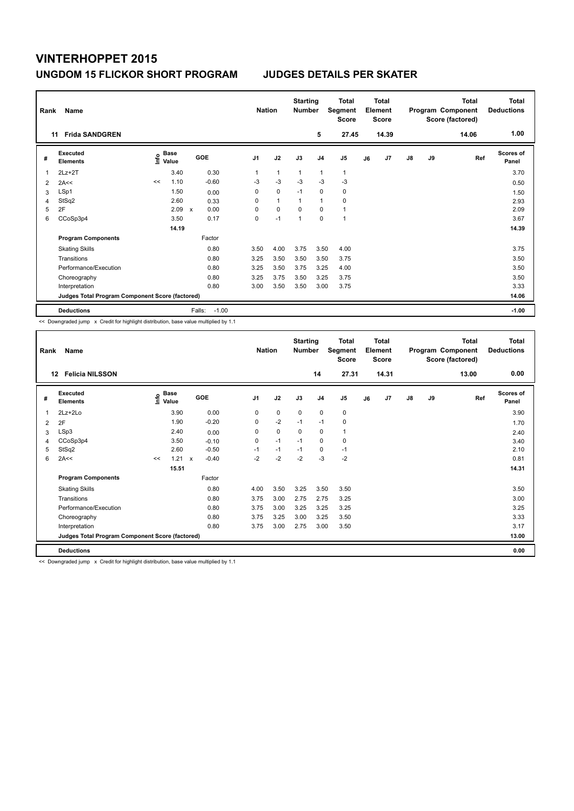| Rank           | Name<br><b>Frida SANDGREN</b><br>11             |      |                      |                     |                | <b>Nation</b> | <b>Starting</b><br><b>Number</b> | 5              | Total<br>Segment<br><b>Score</b><br>27.45 |    | <b>Total</b><br>Element<br><b>Score</b><br>14.39 |    |    | <b>Total</b><br>Program Component<br>Score (factored)<br>14.06 | Total<br><b>Deductions</b><br>1.00 |
|----------------|-------------------------------------------------|------|----------------------|---------------------|----------------|---------------|----------------------------------|----------------|-------------------------------------------|----|--------------------------------------------------|----|----|----------------------------------------------------------------|------------------------------------|
|                |                                                 |      |                      |                     |                |               |                                  |                |                                           |    |                                                  |    |    |                                                                |                                    |
| #              | <b>Executed</b><br><b>Elements</b>              | lnfo | <b>Base</b><br>Value | GOE                 | J <sub>1</sub> | J2            | J3                               | J <sub>4</sub> | J5                                        | J6 | J7                                               | J8 | J9 | Ref                                                            | <b>Scores of</b><br>Panel          |
| 1              | $2Lz+2T$                                        |      | 3.40                 | 0.30                | 1              | $\mathbf{1}$  | $\overline{1}$                   | $\overline{1}$ | $\mathbf{1}$                              |    |                                                  |    |    |                                                                | 3.70                               |
| $\overline{2}$ | 2A<<                                            | <<   | 1.10                 | $-0.60$             | $-3$           | $-3$          | $-3$                             | $-3$           | $-3$                                      |    |                                                  |    |    |                                                                | 0.50                               |
| 3              | LSp1                                            |      | 1.50                 | 0.00                | 0              | $\mathbf 0$   | $-1$                             | $\mathbf 0$    | $\pmb{0}$                                 |    |                                                  |    |    |                                                                | 1.50                               |
| 4              | StSq2                                           |      | 2.60                 | 0.33                | 0              | $\mathbf{1}$  | 1                                | $\overline{1}$ | $\mathbf 0$                               |    |                                                  |    |    |                                                                | 2.93                               |
| 5              | 2F                                              |      | 2.09                 | 0.00<br>$\mathbf x$ | 0              | $\mathbf 0$   | 0                                | $\Omega$       | $\mathbf{1}$                              |    |                                                  |    |    |                                                                | 2.09                               |
| 6              | CCoSp3p4                                        |      | 3.50                 | 0.17                | 0              | $-1$          | 1                                | $\mathbf 0$    | $\overline{1}$                            |    |                                                  |    |    |                                                                | 3.67                               |
|                |                                                 |      | 14.19                |                     |                |               |                                  |                |                                           |    |                                                  |    |    |                                                                | 14.39                              |
|                | <b>Program Components</b>                       |      |                      | Factor              |                |               |                                  |                |                                           |    |                                                  |    |    |                                                                |                                    |
|                | <b>Skating Skills</b>                           |      |                      | 0.80                | 3.50           | 4.00          | 3.75                             | 3.50           | 4.00                                      |    |                                                  |    |    |                                                                | 3.75                               |
|                | Transitions                                     |      |                      | 0.80                | 3.25           | 3.50          | 3.50                             | 3.50           | 3.75                                      |    |                                                  |    |    |                                                                | 3.50                               |
|                | Performance/Execution                           |      |                      | 0.80                | 3.25           | 3.50          | 3.75                             | 3.25           | 4.00                                      |    |                                                  |    |    |                                                                | 3.50                               |
|                | Choreography                                    |      |                      | 0.80                | 3.25           | 3.75          | 3.50                             | 3.25           | 3.75                                      |    |                                                  |    |    |                                                                | 3.50                               |
|                | Interpretation                                  |      |                      | 0.80                | 3.00           | 3.50          | 3.50                             | 3.00           | 3.75                                      |    |                                                  |    |    |                                                                | 3.33                               |
|                | Judges Total Program Component Score (factored) |      |                      |                     |                |               |                                  |                |                                           |    |                                                  |    |    |                                                                | 14.06                              |
|                | <b>Deductions</b>                               |      |                      | Falls:<br>$-1.00$   |                |               |                                  |                |                                           |    |                                                  |    |    |                                                                | $-1.00$                            |

<< Downgraded jump x Credit for highlight distribution, base value multiplied by 1.1

| Rank | Name                                            |    |                                  |              |         | <b>Nation</b>  |             | <b>Starting</b><br>Number |                | <b>Total</b><br>Segment<br><b>Score</b> |    | <b>Total</b><br>Element<br><b>Score</b> |               |    | <b>Total</b><br>Program Component<br>Score (factored) | <b>Total</b><br><b>Deductions</b> |
|------|-------------------------------------------------|----|----------------------------------|--------------|---------|----------------|-------------|---------------------------|----------------|-----------------------------------------|----|-----------------------------------------|---------------|----|-------------------------------------------------------|-----------------------------------|
| 12   | <b>Felicia NILSSON</b>                          |    |                                  |              |         |                |             |                           | 14             | 27.31                                   |    | 14.31                                   |               |    | 13.00                                                 | 0.00                              |
| #    | <b>Executed</b><br><b>Elements</b>              |    | <b>Base</b><br>e Base<br>⊆ Value | GOE          |         | J <sub>1</sub> | J2          | J3                        | J <sub>4</sub> | J <sub>5</sub>                          | J6 | J7                                      | $\mathsf{J}8$ | J9 | Ref                                                   | <b>Scores of</b><br>Panel         |
| 1    | $2Lz+2Lo$                                       |    | 3.90                             |              | 0.00    | 0              | 0           | $\mathbf 0$               | 0              | 0                                       |    |                                         |               |    |                                                       | 3.90                              |
| 2    | 2F                                              |    | 1.90                             |              | $-0.20$ | 0              | $-2$        | $-1$                      | $-1$           | 0                                       |    |                                         |               |    |                                                       | 1.70                              |
| 3    | LSp3                                            |    | 2.40                             |              | 0.00    | 0              | $\mathbf 0$ | 0                         | 0              | 1                                       |    |                                         |               |    |                                                       | 2.40                              |
| 4    | CCoSp3p4                                        |    | 3.50                             |              | $-0.10$ | 0              | $-1$        | $-1$                      | 0              | 0                                       |    |                                         |               |    |                                                       | 3.40                              |
| 5    | StSq2                                           |    | 2.60                             |              | $-0.50$ | $-1$           | $-1$        | $-1$                      | 0              | $-1$                                    |    |                                         |               |    |                                                       | 2.10                              |
| 6    | 2A<<                                            | << | 1.21                             | $\mathsf{x}$ | $-0.40$ | $-2$           | $-2$        | $-2$                      | $-3$           | $-2$                                    |    |                                         |               |    |                                                       | 0.81                              |
|      |                                                 |    | 15.51                            |              |         |                |             |                           |                |                                         |    |                                         |               |    |                                                       | 14.31                             |
|      | <b>Program Components</b>                       |    |                                  | Factor       |         |                |             |                           |                |                                         |    |                                         |               |    |                                                       |                                   |
|      | <b>Skating Skills</b>                           |    |                                  |              | 0.80    | 4.00           | 3.50        | 3.25                      | 3.50           | 3.50                                    |    |                                         |               |    |                                                       | 3.50                              |
|      | Transitions                                     |    |                                  |              | 0.80    | 3.75           | 3.00        | 2.75                      | 2.75           | 3.25                                    |    |                                         |               |    |                                                       | 3.00                              |
|      | Performance/Execution                           |    |                                  |              | 0.80    | 3.75           | 3.00        | 3.25                      | 3.25           | 3.25                                    |    |                                         |               |    |                                                       | 3.25                              |
|      | Choreography                                    |    |                                  |              | 0.80    | 3.75           | 3.25        | 3.00                      | 3.25           | 3.50                                    |    |                                         |               |    |                                                       | 3.33                              |
|      | Interpretation                                  |    |                                  |              | 0.80    | 3.75           | 3.00        | 2.75                      | 3.00           | 3.50                                    |    |                                         |               |    |                                                       | 3.17                              |
|      | Judges Total Program Component Score (factored) |    |                                  |              |         |                |             |                           |                |                                         |    |                                         |               |    |                                                       | 13.00                             |
|      | <b>Deductions</b>                               |    |                                  |              |         |                |             |                           |                |                                         |    |                                         |               |    |                                                       | 0.00                              |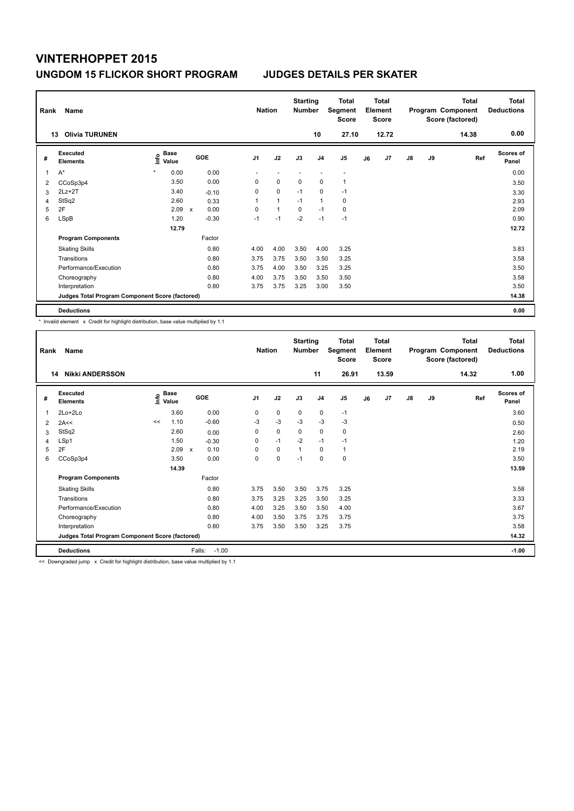| Rank | Name                                            |         |               |             |         |                | <b>Nation</b>  | <b>Starting</b><br><b>Number</b> |                | Total<br>Segment<br><b>Score</b> |    | <b>Total</b><br>Element<br>Score |               |    | <b>Total</b><br>Program Component<br>Score (factored) | <b>Total</b><br><b>Deductions</b> |
|------|-------------------------------------------------|---------|---------------|-------------|---------|----------------|----------------|----------------------------------|----------------|----------------------------------|----|----------------------------------|---------------|----|-------------------------------------------------------|-----------------------------------|
|      | <b>Olivia TURUNEN</b><br>13                     |         |               |             |         |                |                |                                  | 10             | 27.10                            |    | 12.72                            |               |    | 14.38                                                 | 0.00                              |
| #    | Executed<br><b>Elements</b>                     | ١nf٥    | Base<br>Value |             | GOE     | J <sub>1</sub> | J2             | J3                               | J <sub>4</sub> | J <sub>5</sub>                   | J6 | J7                               | $\mathsf{J}8$ | J9 | Ref                                                   | <b>Scores of</b><br>Panel         |
| 1    | $A^*$                                           | $\star$ | 0.00          |             | 0.00    | ٠              |                |                                  |                | $\overline{\phantom{a}}$         |    |                                  |               |    |                                                       | 0.00                              |
| 2    | CCoSp3p4                                        |         | 3.50          |             | 0.00    | 0              | 0              | 0                                | 0              | 1                                |    |                                  |               |    |                                                       | 3.50                              |
| 3    | $2Lz + 2T$                                      |         | 3.40          |             | $-0.10$ | 0              | $\mathbf 0$    | $-1$                             | 0              | $-1$                             |    |                                  |               |    |                                                       | 3.30                              |
| 4    | StSq2                                           |         | 2.60          |             | 0.33    | 1              | $\overline{1}$ | $-1$                             | $\mathbf{1}$   | 0                                |    |                                  |               |    |                                                       | 2.93                              |
| 5    | 2F                                              |         | 2.09          | $\mathbf x$ | 0.00    | 0              | $\overline{1}$ | $\Omega$                         | $-1$           | 0                                |    |                                  |               |    |                                                       | 2.09                              |
| 6    | <b>LSpB</b>                                     |         | 1.20          |             | $-0.30$ | $-1$           | $-1$           | $-2$                             | $-1$           | $-1$                             |    |                                  |               |    |                                                       | 0.90                              |
|      |                                                 |         | 12.79         |             |         |                |                |                                  |                |                                  |    |                                  |               |    |                                                       | 12.72                             |
|      | <b>Program Components</b>                       |         |               |             | Factor  |                |                |                                  |                |                                  |    |                                  |               |    |                                                       |                                   |
|      | <b>Skating Skills</b>                           |         |               |             | 0.80    | 4.00           | 4.00           | 3.50                             | 4.00           | 3.25                             |    |                                  |               |    |                                                       | 3.83                              |
|      | Transitions                                     |         |               |             | 0.80    | 3.75           | 3.75           | 3.50                             | 3.50           | 3.25                             |    |                                  |               |    |                                                       | 3.58                              |
|      | Performance/Execution                           |         |               |             | 0.80    | 3.75           | 4.00           | 3.50                             | 3.25           | 3.25                             |    |                                  |               |    |                                                       | 3.50                              |
|      | Choreography                                    |         |               |             | 0.80    | 4.00           | 3.75           | 3.50                             | 3.50           | 3.50                             |    |                                  |               |    |                                                       | 3.58                              |
|      | Interpretation                                  |         |               |             | 0.80    | 3.75           | 3.75           | 3.25                             | 3.00           | 3.50                             |    |                                  |               |    |                                                       | 3.50                              |
|      | Judges Total Program Component Score (factored) |         |               |             |         |                |                |                                  |                |                                  |    |                                  |               |    |                                                       | 14.38                             |
|      | <b>Deductions</b>                               |         |               |             |         |                |                |                                  |                |                                  |    |                                  |               |    |                                                       | 0.00                              |

\* Invalid element x Credit for highlight distribution, base value multiplied by 1.1

| Rank | Name                                            |                                  |                      |                   | <b>Nation</b>  |             | <b>Starting</b><br><b>Number</b> |                | <b>Total</b><br>Segment<br><b>Score</b> |    | <b>Total</b><br>Element<br>Score |               |    | <b>Total</b><br>Program Component<br>Score (factored) | <b>Total</b><br><b>Deductions</b> |
|------|-------------------------------------------------|----------------------------------|----------------------|-------------------|----------------|-------------|----------------------------------|----------------|-----------------------------------------|----|----------------------------------|---------------|----|-------------------------------------------------------|-----------------------------------|
| 14   | <b>Nikki ANDERSSON</b>                          |                                  |                      |                   |                |             |                                  | 11             | 26.91                                   |    | 13.59                            |               |    | 14.32                                                 | 1.00                              |
| #    | Executed<br><b>Elements</b>                     | <b>Base</b><br>e Base<br>⊆ Value |                      | GOE               | J <sub>1</sub> | J2          | J3                               | J <sub>4</sub> | J <sub>5</sub>                          | J6 | J7                               | $\mathsf{J}8$ | J9 | Ref                                                   | <b>Scores of</b><br>Panel         |
| 1    | $2Lo+2Lo$                                       |                                  | 3.60                 | 0.00              | 0              | 0           | 0                                | 0              | $-1$                                    |    |                                  |               |    |                                                       | 3.60                              |
| 2    | 2A<<                                            | 1.10<br><<                       |                      | $-0.60$           | $-3$           | $-3$        | $-3$                             | $-3$           | $-3$                                    |    |                                  |               |    |                                                       | 0.50                              |
| 3    | StSq2                                           |                                  | 2.60                 | 0.00              | 0              | $\mathbf 0$ | 0                                | 0              | 0                                       |    |                                  |               |    |                                                       | 2.60                              |
| 4    | LSp1                                            |                                  | 1.50                 | $-0.30$           | 0              | $-1$        | $-2$                             | $-1$           | $-1$                                    |    |                                  |               |    |                                                       | 1.20                              |
| 5    | 2F                                              |                                  | 2.09<br>$\mathsf{x}$ | 0.10              | 0              | $\mathbf 0$ | $\overline{1}$                   | 0              | 1                                       |    |                                  |               |    |                                                       | 2.19                              |
| 6    | CCoSp3p4                                        |                                  | 3.50                 | 0.00              | 0              | $\mathbf 0$ | $-1$                             | 0              | 0                                       |    |                                  |               |    |                                                       | 3.50                              |
|      |                                                 |                                  | 14.39                |                   |                |             |                                  |                |                                         |    |                                  |               |    |                                                       | 13.59                             |
|      | <b>Program Components</b>                       |                                  |                      | Factor            |                |             |                                  |                |                                         |    |                                  |               |    |                                                       |                                   |
|      | <b>Skating Skills</b>                           |                                  |                      | 0.80              | 3.75           | 3.50        | 3.50                             | 3.75           | 3.25                                    |    |                                  |               |    |                                                       | 3.58                              |
|      | Transitions                                     |                                  |                      | 0.80              | 3.75           | 3.25        | 3.25                             | 3.50           | 3.25                                    |    |                                  |               |    |                                                       | 3.33                              |
|      | Performance/Execution                           |                                  |                      | 0.80              | 4.00           | 3.25        | 3.50                             | 3.50           | 4.00                                    |    |                                  |               |    |                                                       | 3.67                              |
|      | Choreography                                    |                                  |                      | 0.80              | 4.00           | 3.50        | 3.75                             | 3.75           | 3.75                                    |    |                                  |               |    |                                                       | 3.75                              |
|      | Interpretation                                  |                                  |                      | 0.80              | 3.75           | 3.50        | 3.50                             | 3.25           | 3.75                                    |    |                                  |               |    |                                                       | 3.58                              |
|      | Judges Total Program Component Score (factored) |                                  |                      |                   |                |             |                                  |                |                                         |    |                                  |               |    |                                                       | 14.32                             |
|      | <b>Deductions</b>                               |                                  |                      | Falls:<br>$-1.00$ |                |             |                                  |                |                                         |    |                                  |               |    |                                                       | $-1.00$                           |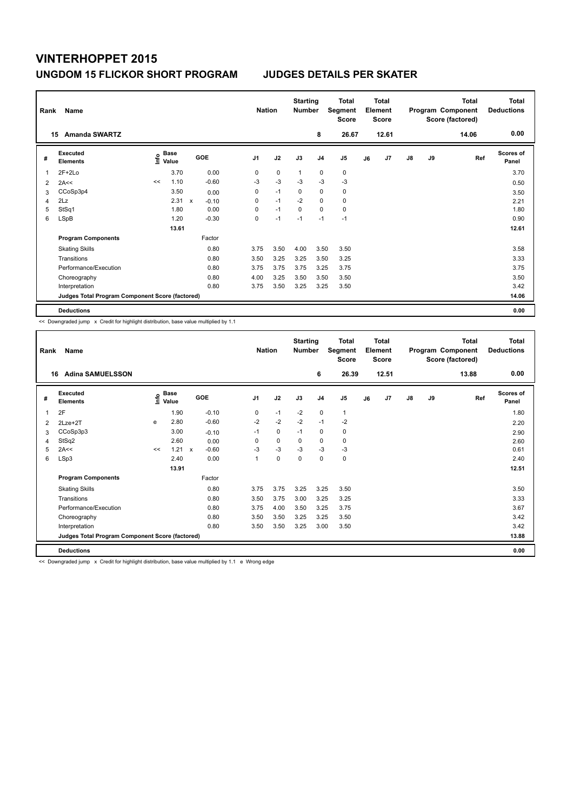| Rank | Name                                            |                                      |       |             |         |                | <b>Nation</b> | <b>Starting</b><br><b>Number</b> |                | Total<br>Segment<br><b>Score</b> |    | <b>Total</b><br>Element<br><b>Score</b> |               |           | <b>Total</b><br>Program Component<br>Score (factored) | <b>Total</b><br><b>Deductions</b> |
|------|-------------------------------------------------|--------------------------------------|-------|-------------|---------|----------------|---------------|----------------------------------|----------------|----------------------------------|----|-----------------------------------------|---------------|-----------|-------------------------------------------------------|-----------------------------------|
|      | <b>Amanda SWARTZ</b><br>15                      |                                      |       |             |         |                |               |                                  | 8              | 26.67                            |    | 12.61                                   |               |           | 14.06                                                 | 0.00                              |
| #    | Executed<br><b>Elements</b>                     | Base<br>e <sup>Base</sup><br>⊆ Value |       |             | GOE     | J <sub>1</sub> | J2            | J3                               | J <sub>4</sub> | J5                               | J6 | J7                                      | $\mathsf{J}8$ | <b>J9</b> | Ref                                                   | Scores of<br>Panel                |
|      | $2F+2Lo$                                        |                                      | 3.70  |             | 0.00    | 0              | $\mathbf 0$   | $\overline{1}$                   | 0              | $\pmb{0}$                        |    |                                         |               |           |                                                       | 3.70                              |
| 2    | 2A<<                                            | <<                                   | 1.10  |             | $-0.60$ | $-3$           | $-3$          | $-3$                             | $-3$           | $-3$                             |    |                                         |               |           |                                                       | 0.50                              |
| 3    | CCoSp3p4                                        |                                      | 3.50  |             | 0.00    | 0              | $-1$          | 0                                | 0              | 0                                |    |                                         |               |           |                                                       | 3.50                              |
| 4    | 2Lz                                             |                                      | 2.31  | $\mathbf x$ | $-0.10$ | 0              | $-1$          | $-2$                             | 0              | 0                                |    |                                         |               |           |                                                       | 2.21                              |
| 5    | StSq1                                           |                                      | 1.80  |             | 0.00    | 0              | $-1$          | $\mathbf 0$                      | $\mathbf 0$    | $\pmb{0}$                        |    |                                         |               |           |                                                       | 1.80                              |
| 6    | LSpB                                            |                                      | 1.20  |             | $-0.30$ | 0              | $-1$          | $-1$                             | $-1$           | $-1$                             |    |                                         |               |           |                                                       | 0.90                              |
|      |                                                 |                                      | 13.61 |             |         |                |               |                                  |                |                                  |    |                                         |               |           |                                                       | 12.61                             |
|      | <b>Program Components</b>                       |                                      |       |             | Factor  |                |               |                                  |                |                                  |    |                                         |               |           |                                                       |                                   |
|      | <b>Skating Skills</b>                           |                                      |       |             | 0.80    | 3.75           | 3.50          | 4.00                             | 3.50           | 3.50                             |    |                                         |               |           |                                                       | 3.58                              |
|      | Transitions                                     |                                      |       |             | 0.80    | 3.50           | 3.25          | 3.25                             | 3.50           | 3.25                             |    |                                         |               |           |                                                       | 3.33                              |
|      | Performance/Execution                           |                                      |       |             | 0.80    | 3.75           | 3.75          | 3.75                             | 3.25           | 3.75                             |    |                                         |               |           |                                                       | 3.75                              |
|      | Choreography                                    |                                      |       |             | 0.80    | 4.00           | 3.25          | 3.50                             | 3.50           | 3.50                             |    |                                         |               |           |                                                       | 3.50                              |
|      | Interpretation                                  |                                      |       |             | 0.80    | 3.75           | 3.50          | 3.25                             | 3.25           | 3.50                             |    |                                         |               |           |                                                       | 3.42                              |
|      | Judges Total Program Component Score (factored) |                                      |       |             |         |                |               |                                  |                |                                  |    |                                         |               |           |                                                       | 14.06                             |
|      | <b>Deductions</b>                               |                                      |       |             |         |                |               |                                  |                |                                  |    |                                         |               |           |                                                       | 0.00                              |

<< Downgraded jump x Credit for highlight distribution, base value multiplied by 1.1

| Rank | Name                                            |    |                                  |                           |         | <b>Nation</b>  |             | <b>Starting</b><br><b>Number</b> |                | <b>Total</b><br>Segment<br><b>Score</b> |    | Total<br>Element<br><b>Score</b> |               |    | <b>Total</b><br>Program Component<br>Score (factored) | <b>Total</b><br><b>Deductions</b> |
|------|-------------------------------------------------|----|----------------------------------|---------------------------|---------|----------------|-------------|----------------------------------|----------------|-----------------------------------------|----|----------------------------------|---------------|----|-------------------------------------------------------|-----------------------------------|
| 16   | <b>Adina SAMUELSSON</b>                         |    |                                  |                           |         |                |             |                                  | 6              | 26.39                                   |    | 12.51                            |               |    | 13.88                                                 | 0.00                              |
| #    | Executed<br><b>Elements</b>                     |    | <b>Base</b><br>e Base<br>⊆ Value | GOE                       |         | J <sub>1</sub> | J2          | J3                               | J <sub>4</sub> | J5                                      | J6 | J7                               | $\mathsf{J}8$ | J9 | Ref                                                   | <b>Scores of</b><br>Panel         |
| 1    | 2F                                              |    | 1.90                             |                           | $-0.10$ | 0              | $-1$        | $-2$                             | $\mathbf 0$    | $\mathbf{1}$                            |    |                                  |               |    |                                                       | 1.80                              |
| 2    | 2Lze+2T                                         | e  | 2.80                             |                           | $-0.60$ | $-2$           | $-2$        | $-2$                             | $-1$           | $-2$                                    |    |                                  |               |    |                                                       | 2.20                              |
| 3    | CCoSp3p3                                        |    | 3.00                             |                           | $-0.10$ | $-1$           | $\mathbf 0$ | $-1$                             | $\mathbf 0$    | 0                                       |    |                                  |               |    |                                                       | 2.90                              |
| 4    | StSq2                                           |    | 2.60                             |                           | 0.00    | 0              | $\mathbf 0$ | 0                                | $\mathbf 0$    | 0                                       |    |                                  |               |    |                                                       | 2.60                              |
| 5    | 2A<<                                            | << | 1.21                             | $\boldsymbol{\mathsf{x}}$ | $-0.60$ | $-3$           | $-3$        | $-3$                             | $-3$           | $-3$                                    |    |                                  |               |    |                                                       | 0.61                              |
| 6    | LSp3                                            |    | 2.40                             |                           | 0.00    | 1              | $\mathbf 0$ | 0                                | $\mathbf 0$    | 0                                       |    |                                  |               |    |                                                       | 2.40                              |
|      |                                                 |    | 13.91                            |                           |         |                |             |                                  |                |                                         |    |                                  |               |    |                                                       | 12.51                             |
|      | <b>Program Components</b>                       |    |                                  | Factor                    |         |                |             |                                  |                |                                         |    |                                  |               |    |                                                       |                                   |
|      | <b>Skating Skills</b>                           |    |                                  |                           | 0.80    | 3.75           | 3.75        | 3.25                             | 3.25           | 3.50                                    |    |                                  |               |    |                                                       | 3.50                              |
|      | Transitions                                     |    |                                  |                           | 0.80    | 3.50           | 3.75        | 3.00                             | 3.25           | 3.25                                    |    |                                  |               |    |                                                       | 3.33                              |
|      | Performance/Execution                           |    |                                  |                           | 0.80    | 3.75           | 4.00        | 3.50                             | 3.25           | 3.75                                    |    |                                  |               |    |                                                       | 3.67                              |
|      | Choreography                                    |    |                                  |                           | 0.80    | 3.50           | 3.50        | 3.25                             | 3.25           | 3.50                                    |    |                                  |               |    |                                                       | 3.42                              |
|      | Interpretation                                  |    |                                  |                           | 0.80    | 3.50           | 3.50        | 3.25                             | 3.00           | 3.50                                    |    |                                  |               |    |                                                       | 3.42                              |
|      | Judges Total Program Component Score (factored) |    |                                  |                           |         |                |             |                                  |                |                                         |    |                                  |               |    |                                                       | 13.88                             |
|      | <b>Deductions</b>                               |    |                                  |                           |         |                |             |                                  |                |                                         |    |                                  |               |    |                                                       | 0.00                              |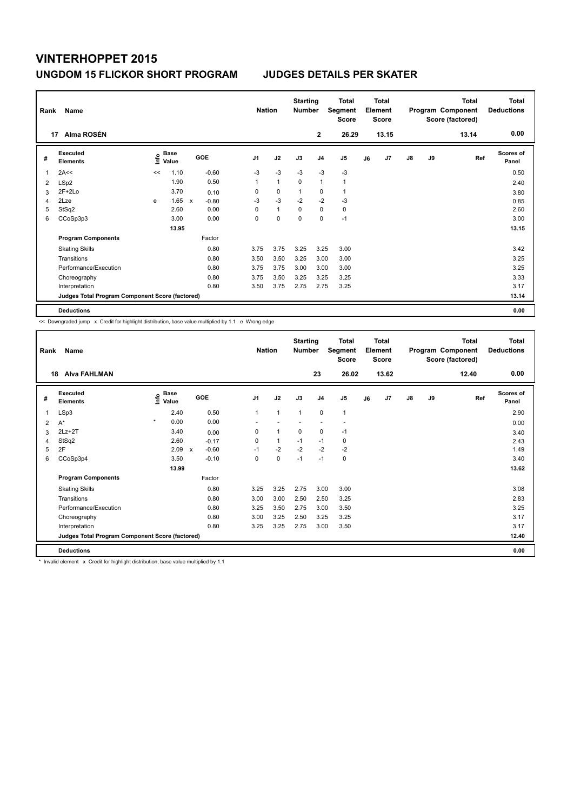| Rank | Name                                            |    |                           |              |         | <b>Nation</b>  |              | <b>Starting</b><br><b>Number</b> |                | <b>Total</b><br>Segment<br><b>Score</b> |    | <b>Total</b><br>Element<br><b>Score</b> |               |    | <b>Total</b><br>Program Component<br>Score (factored) | Total<br><b>Deductions</b> |
|------|-------------------------------------------------|----|---------------------------|--------------|---------|----------------|--------------|----------------------------------|----------------|-----------------------------------------|----|-----------------------------------------|---------------|----|-------------------------------------------------------|----------------------------|
|      | Alma ROSÉN<br>17                                |    |                           |              |         |                |              |                                  | $\mathbf{2}$   | 26.29                                   |    | 13.15                                   |               |    | 13.14                                                 | 0.00                       |
| #    | Executed<br><b>Elements</b>                     |    | Base<br>e Base<br>⊆ Value |              | GOE     | J <sub>1</sub> | J2           | J3                               | J <sub>4</sub> | J <sub>5</sub>                          | J6 | J7                                      | $\mathsf{J}8$ | J9 | Ref                                                   | <b>Scores of</b><br>Panel  |
| 1    | 2A<<                                            | << | 1.10                      |              | $-0.60$ | $-3$           | $-3$         | $-3$                             | $-3$           | $-3$                                    |    |                                         |               |    |                                                       | 0.50                       |
| 2    | LSp2                                            |    | 1.90                      |              | 0.50    | 1              | $\mathbf{1}$ | $\mathbf 0$                      | $\overline{1}$ | $\overline{1}$                          |    |                                         |               |    |                                                       | 2.40                       |
| 3    | $2F+2Lo$                                        |    | 3.70                      |              | 0.10    | 0              | $\pmb{0}$    | $\mathbf{1}$                     | 0              | $\mathbf{1}$                            |    |                                         |               |    |                                                       | 3.80                       |
| 4    | 2Lze                                            | e  | 1.65                      | $\mathsf{x}$ | $-0.80$ | $-3$           | $-3$         | $-2$                             | $-2$           | $-3$                                    |    |                                         |               |    |                                                       | 0.85                       |
| 5    | StSq2                                           |    | 2.60                      |              | 0.00    | 0              | $\mathbf{1}$ | 0                                | $\mathbf 0$    | 0                                       |    |                                         |               |    |                                                       | 2.60                       |
| 6    | CCoSp3p3                                        |    | 3.00                      |              | 0.00    | 0              | $\mathbf 0$  | $\Omega$                         | 0              | $-1$                                    |    |                                         |               |    |                                                       | 3.00                       |
|      |                                                 |    | 13.95                     |              |         |                |              |                                  |                |                                         |    |                                         |               |    |                                                       | 13.15                      |
|      | <b>Program Components</b>                       |    |                           |              | Factor  |                |              |                                  |                |                                         |    |                                         |               |    |                                                       |                            |
|      | <b>Skating Skills</b>                           |    |                           |              | 0.80    | 3.75           | 3.75         | 3.25                             | 3.25           | 3.00                                    |    |                                         |               |    |                                                       | 3.42                       |
|      | Transitions                                     |    |                           |              | 0.80    | 3.50           | 3.50         | 3.25                             | 3.00           | 3.00                                    |    |                                         |               |    |                                                       | 3.25                       |
|      | Performance/Execution                           |    |                           |              | 0.80    | 3.75           | 3.75         | 3.00                             | 3.00           | 3.00                                    |    |                                         |               |    |                                                       | 3.25                       |
|      | Choreography                                    |    |                           |              | 0.80    | 3.75           | 3.50         | 3.25                             | 3.25           | 3.25                                    |    |                                         |               |    |                                                       | 3.33                       |
|      | Interpretation                                  |    |                           |              | 0.80    | 3.50           | 3.75         | 2.75                             | 2.75           | 3.25                                    |    |                                         |               |    |                                                       | 3.17                       |
|      | Judges Total Program Component Score (factored) |    |                           |              |         |                |              |                                  |                |                                         |    |                                         |               |    |                                                       | 13.14                      |
|      | <b>Deductions</b>                               |    |                           |              |         |                |              |                                  |                |                                         |    |                                         |               |    |                                                       | 0.00                       |

<< Downgraded jump x Credit for highlight distribution, base value multiplied by 1.1 e Wrong edge

| Rank | Name                                            |                              |                         | <b>Nation</b>  |              | <b>Starting</b><br><b>Number</b> |                | <b>Total</b><br>Segment<br><b>Score</b> |    | <b>Total</b><br>Element<br>Score |               |    | <b>Total</b><br>Program Component<br>Score (factored) | Total<br><b>Deductions</b> |
|------|-------------------------------------------------|------------------------------|-------------------------|----------------|--------------|----------------------------------|----------------|-----------------------------------------|----|----------------------------------|---------------|----|-------------------------------------------------------|----------------------------|
| 18   | <b>Alva FAHLMAN</b>                             |                              |                         |                |              |                                  | 23             | 26.02                                   |    | 13.62                            |               |    | 12.40                                                 | 0.00                       |
| #    | Executed<br><b>Elements</b>                     | <b>Base</b><br>١nfo<br>Value | <b>GOE</b>              | J <sub>1</sub> | J2           | J3                               | J <sub>4</sub> | J <sub>5</sub>                          | J6 | J7                               | $\mathsf{J}8$ | J9 | Ref                                                   | <b>Scores of</b><br>Panel  |
| 1    | LSp3                                            | 2.40                         | 0.50                    | 1              | $\mathbf{1}$ | $\mathbf{1}$                     | $\mathbf 0$    | $\mathbf{1}$                            |    |                                  |               |    |                                                       | 2.90                       |
| 2    | $A^*$                                           | $\star$<br>0.00              | 0.00                    |                |              |                                  |                |                                         |    |                                  |               |    |                                                       | 0.00                       |
| 3    | $2Lz+2T$                                        | 3.40                         | 0.00                    | $\Omega$       | $\mathbf{1}$ | $\mathbf 0$                      | 0              | $-1$                                    |    |                                  |               |    |                                                       | 3.40                       |
| 4    | StSq2                                           | 2.60                         | $-0.17$                 | 0              | $\mathbf{1}$ | $-1$                             | $-1$           | 0                                       |    |                                  |               |    |                                                       | 2.43                       |
| 5    | 2F                                              | 2.09                         | $-0.60$<br>$\mathsf{x}$ | $-1$           | $-2$         | $-2$                             | $-2$           | $-2$                                    |    |                                  |               |    |                                                       | 1.49                       |
| 6    | CCoSp3p4                                        | 3.50                         | $-0.10$                 | 0              | 0            | $-1$                             | $-1$           | $\pmb{0}$                               |    |                                  |               |    |                                                       | 3.40                       |
|      |                                                 | 13.99                        |                         |                |              |                                  |                |                                         |    |                                  |               |    |                                                       | 13.62                      |
|      | <b>Program Components</b>                       |                              | Factor                  |                |              |                                  |                |                                         |    |                                  |               |    |                                                       |                            |
|      | <b>Skating Skills</b>                           |                              | 0.80                    | 3.25           | 3.25         | 2.75                             | 3.00           | 3.00                                    |    |                                  |               |    |                                                       | 3.08                       |
|      | Transitions                                     |                              | 0.80                    | 3.00           | 3.00         | 2.50                             | 2.50           | 3.25                                    |    |                                  |               |    |                                                       | 2.83                       |
|      | Performance/Execution                           |                              | 0.80                    | 3.25           | 3.50         | 2.75                             | 3.00           | 3.50                                    |    |                                  |               |    |                                                       | 3.25                       |
|      | Choreography                                    |                              | 0.80                    | 3.00           | 3.25         | 2.50                             | 3.25           | 3.25                                    |    |                                  |               |    |                                                       | 3.17                       |
|      | Interpretation                                  |                              | 0.80                    | 3.25           | 3.25         | 2.75                             | 3.00           | 3.50                                    |    |                                  |               |    |                                                       | 3.17                       |
|      | Judges Total Program Component Score (factored) |                              |                         |                |              |                                  |                |                                         |    |                                  |               |    |                                                       | 12.40                      |
|      | <b>Deductions</b>                               |                              |                         |                |              |                                  |                |                                         |    |                                  |               |    |                                                       | 0.00                       |

\* Invalid element x Credit for highlight distribution, base value multiplied by 1.1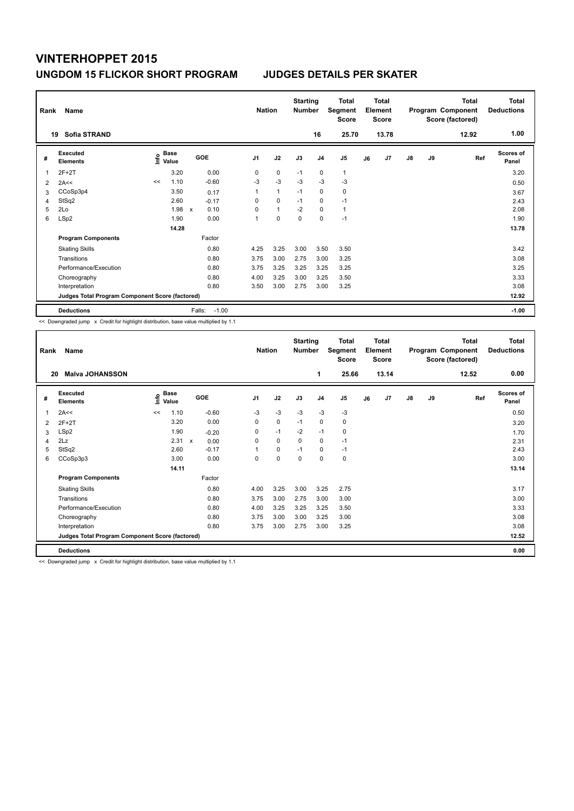| Rank | Name<br>Sofia STRAND<br>19                      |      |                      |                     | <b>Nation</b>  |              | <b>Starting</b><br><b>Number</b> | 16             | Total<br>Segment<br><b>Score</b><br>25.70 |    | <b>Total</b><br>Element<br><b>Score</b><br>13.78 |               |    | <b>Total</b><br>Program Component<br>Score (factored)<br>12.92 | Total<br><b>Deductions</b><br>1.00 |
|------|-------------------------------------------------|------|----------------------|---------------------|----------------|--------------|----------------------------------|----------------|-------------------------------------------|----|--------------------------------------------------|---------------|----|----------------------------------------------------------------|------------------------------------|
| #    | Executed<br><b>Elements</b>                     | lnfo | <b>Base</b><br>Value | GOE                 | J <sub>1</sub> | J2           | J3                               | J <sub>4</sub> | J <sub>5</sub>                            | J6 | J <sub>7</sub>                                   | $\mathsf{J}8$ | J9 | Ref                                                            | Scores of<br>Panel                 |
| 1    | $2F+2T$                                         |      | 3.20                 | 0.00                | 0              | $\mathbf 0$  | $-1$                             | $\mathbf 0$    | $\mathbf{1}$                              |    |                                                  |               |    |                                                                | 3.20                               |
| 2    | 2A<<                                            | <<   | 1.10                 | $-0.60$             | $-3$           | $-3$         | $-3$                             | $-3$           | $-3$                                      |    |                                                  |               |    |                                                                | 0.50                               |
| 3    | CCoSp3p4                                        |      | 3.50                 | 0.17                | 1              | $\mathbf{1}$ | $-1$                             | $\mathbf 0$    | 0                                         |    |                                                  |               |    |                                                                | 3.67                               |
| 4    | StSq2                                           |      | 2.60                 | $-0.17$             | 0              | $\mathbf 0$  | $-1$                             | 0              | $-1$                                      |    |                                                  |               |    |                                                                | 2.43                               |
| 5    | 2Lo                                             |      | 1.98                 | 0.10<br>$\mathbf x$ | 0              | $\mathbf{1}$ | $-2$                             | $\Omega$       | $\mathbf{1}$                              |    |                                                  |               |    |                                                                | 2.08                               |
| 6    | LSp2                                            |      | 1.90                 | 0.00                | 1              | $\mathbf 0$  | $\pmb{0}$                        | $\mathbf 0$    | $-1$                                      |    |                                                  |               |    |                                                                | 1.90                               |
|      |                                                 |      | 14.28                |                     |                |              |                                  |                |                                           |    |                                                  |               |    |                                                                | 13.78                              |
|      | <b>Program Components</b>                       |      |                      | Factor              |                |              |                                  |                |                                           |    |                                                  |               |    |                                                                |                                    |
|      | <b>Skating Skills</b>                           |      |                      | 0.80                | 4.25           | 3.25         | 3.00                             | 3.50           | 3.50                                      |    |                                                  |               |    |                                                                | 3.42                               |
|      | Transitions                                     |      |                      | 0.80                | 3.75           | 3.00         | 2.75                             | 3.00           | 3.25                                      |    |                                                  |               |    |                                                                | 3.08                               |
|      | Performance/Execution                           |      |                      | 0.80                | 3.75           | 3.25         | 3.25                             | 3.25           | 3.25                                      |    |                                                  |               |    |                                                                | 3.25                               |
|      | Choreography                                    |      |                      | 0.80                | 4.00           | 3.25         | 3.00                             | 3.25           | 3.50                                      |    |                                                  |               |    |                                                                | 3.33                               |
|      | Interpretation                                  |      |                      | 0.80                | 3.50           | 3.00         | 2.75                             | 3.00           | 3.25                                      |    |                                                  |               |    |                                                                | 3.08                               |
|      | Judges Total Program Component Score (factored) |      |                      |                     |                |              |                                  |                |                                           |    |                                                  |               |    |                                                                | 12.92                              |
|      | <b>Deductions</b>                               |      |                      | Falls:<br>$-1.00$   |                |              |                                  |                |                                           |    |                                                  |               |    |                                                                | $-1.00$                            |

<< Downgraded jump x Credit for highlight distribution, base value multiplied by 1.1

| Rank | Name                                            |      |               |         |                | <b>Nation</b> | <b>Starting</b><br><b>Number</b> |                | Total<br>Segment<br><b>Score</b> |    | Total<br>Element<br><b>Score</b> |    |    | <b>Total</b><br>Program Component<br>Score (factored) | <b>Total</b><br><b>Deductions</b> |
|------|-------------------------------------------------|------|---------------|---------|----------------|---------------|----------------------------------|----------------|----------------------------------|----|----------------------------------|----|----|-------------------------------------------------------|-----------------------------------|
| 20   | <b>Malva JOHANSSON</b>                          |      |               |         |                |               |                                  | 1              | 25.66                            |    | 13.14                            |    |    | 12.52                                                 | 0.00                              |
| #    | Executed<br><b>Elements</b>                     | lnfo | Base<br>Value | GOE     | J <sub>1</sub> | J2            | J3                               | J <sub>4</sub> | J <sub>5</sub>                   | J6 | J <sub>7</sub>                   | J8 | J9 | Ref                                                   | <b>Scores of</b><br>Panel         |
| 1    | 2A<<                                            | <<   | 1.10          | $-0.60$ | $-3$           | $-3$          | $-3$                             | $-3$           | $-3$                             |    |                                  |    |    |                                                       | 0.50                              |
| 2    | $2F+2T$                                         |      | 3.20          | 0.00    | 0              | 0             | $-1$                             | $\mathbf 0$    | 0                                |    |                                  |    |    |                                                       | 3.20                              |
| 3    | LSp2                                            |      | 1.90          | $-0.20$ | 0              | $-1$          | $-2$                             | $-1$           | 0                                |    |                                  |    |    |                                                       | 1.70                              |
| 4    | 2Lz                                             |      | 2.31 x        | 0.00    | 0              | 0             | 0                                | 0              | $-1$                             |    |                                  |    |    |                                                       | 2.31                              |
| 5    | StSq2                                           |      | 2.60          | $-0.17$ | 1              | 0             | $-1$                             | 0              | $-1$                             |    |                                  |    |    |                                                       | 2.43                              |
| 6    | CCoSp3p3                                        |      | 3.00          | 0.00    | 0              | 0             | $\mathbf 0$                      | $\mathbf 0$    | 0                                |    |                                  |    |    |                                                       | 3.00                              |
|      |                                                 |      | 14.11         |         |                |               |                                  |                |                                  |    |                                  |    |    |                                                       | 13.14                             |
|      | <b>Program Components</b>                       |      |               | Factor  |                |               |                                  |                |                                  |    |                                  |    |    |                                                       |                                   |
|      | <b>Skating Skills</b>                           |      |               | 0.80    | 4.00           | 3.25          | 3.00                             | 3.25           | 2.75                             |    |                                  |    |    |                                                       | 3.17                              |
|      | Transitions                                     |      |               | 0.80    | 3.75           | 3.00          | 2.75                             | 3.00           | 3.00                             |    |                                  |    |    |                                                       | 3.00                              |
|      | Performance/Execution                           |      |               | 0.80    | 4.00           | 3.25          | 3.25                             | 3.25           | 3.50                             |    |                                  |    |    |                                                       | 3.33                              |
|      | Choreography                                    |      |               | 0.80    | 3.75           | 3.00          | 3.00                             | 3.25           | 3.00                             |    |                                  |    |    |                                                       | 3.08                              |
|      | Interpretation                                  |      |               | 0.80    | 3.75           | 3.00          | 2.75                             | 3.00           | 3.25                             |    |                                  |    |    |                                                       | 3.08                              |
|      | Judges Total Program Component Score (factored) |      |               |         |                |               |                                  |                |                                  |    |                                  |    |    |                                                       | 12.52                             |
|      | <b>Deductions</b>                               |      |               |         |                |               |                                  |                |                                  |    |                                  |    |    |                                                       | 0.00                              |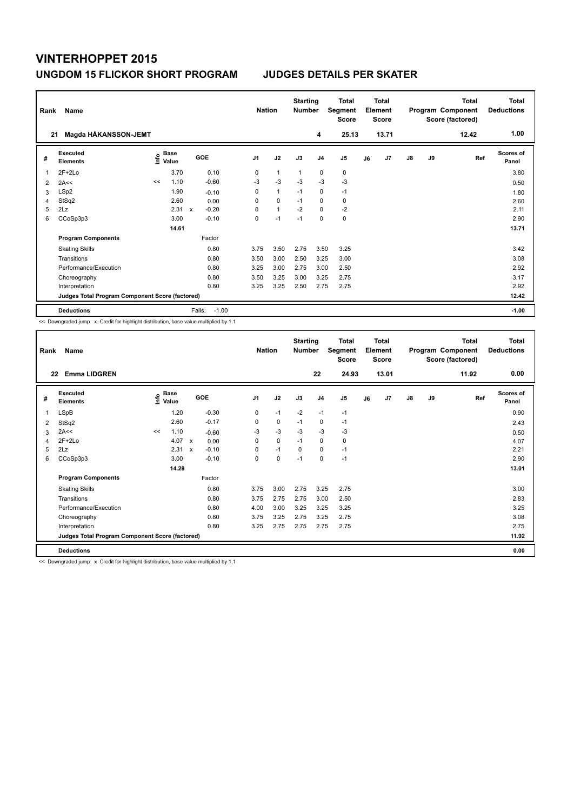| Rank<br>21 | Name<br>Magda HÅKANSSON-JEMT                    |      |                      |                           |         | <b>Nation</b>  |              | <b>Starting</b><br><b>Number</b> | 4              | Total<br>Segment<br><b>Score</b><br>25.13 |    | <b>Total</b><br>Element<br><b>Score</b><br>13.71 |               |    | <b>Total</b><br>Program Component<br>Score (factored)<br>12.42 | Total<br><b>Deductions</b><br>1.00 |
|------------|-------------------------------------------------|------|----------------------|---------------------------|---------|----------------|--------------|----------------------------------|----------------|-------------------------------------------|----|--------------------------------------------------|---------------|----|----------------------------------------------------------------|------------------------------------|
|            |                                                 |      |                      |                           |         |                |              |                                  |                |                                           |    |                                                  |               |    |                                                                |                                    |
| #          | Executed<br><b>Elements</b>                     | lnfo | <b>Base</b><br>Value |                           | GOE     | J <sub>1</sub> | J2           | J3                               | J <sub>4</sub> | J5                                        | J6 | J <sub>7</sub>                                   | $\mathsf{J}8$ | J9 | Ref                                                            | <b>Scores of</b><br>Panel          |
| 1          | $2F+2Lo$                                        |      | 3.70                 |                           | 0.10    | 0              | $\mathbf{1}$ | $\mathbf{1}$                     | $\pmb{0}$      | 0                                         |    |                                                  |               |    |                                                                | 3.80                               |
| 2          | 2A<<                                            | <<   | 1.10                 |                           | $-0.60$ | $-3$           | $-3$         | $-3$                             | $-3$           | $-3$                                      |    |                                                  |               |    |                                                                | 0.50                               |
| 3          | LSp2                                            |      | 1.90                 |                           | $-0.10$ | 0              | $\mathbf{1}$ | $-1$                             | $\mathbf 0$    | $-1$                                      |    |                                                  |               |    |                                                                | 1.80                               |
| 4          | StSq2                                           |      | 2.60                 |                           | 0.00    | 0              | $\mathbf 0$  | $-1$                             | $\mathbf 0$    | 0                                         |    |                                                  |               |    |                                                                | 2.60                               |
| 5          | 2Lz                                             |      | 2.31                 | $\boldsymbol{\mathsf{x}}$ | $-0.20$ | $\Omega$       | $\mathbf{1}$ | $-2$                             | $\Omega$       | $-2$                                      |    |                                                  |               |    |                                                                | 2.11                               |
| 6          | CCoSp3p3                                        |      | 3.00                 |                           | $-0.10$ | 0              | $-1$         | $-1$                             | $\mathbf 0$    | 0                                         |    |                                                  |               |    |                                                                | 2.90                               |
|            |                                                 |      | 14.61                |                           |         |                |              |                                  |                |                                           |    |                                                  |               |    |                                                                | 13.71                              |
|            | <b>Program Components</b>                       |      |                      |                           | Factor  |                |              |                                  |                |                                           |    |                                                  |               |    |                                                                |                                    |
|            | <b>Skating Skills</b>                           |      |                      |                           | 0.80    | 3.75           | 3.50         | 2.75                             | 3.50           | 3.25                                      |    |                                                  |               |    |                                                                | 3.42                               |
|            | Transitions                                     |      |                      |                           | 0.80    | 3.50           | 3.00         | 2.50                             | 3.25           | 3.00                                      |    |                                                  |               |    |                                                                | 3.08                               |
|            | Performance/Execution                           |      |                      |                           | 0.80    | 3.25           | 3.00         | 2.75                             | 3.00           | 2.50                                      |    |                                                  |               |    |                                                                | 2.92                               |
|            | Choreography                                    |      |                      |                           | 0.80    | 3.50           | 3.25         | 3.00                             | 3.25           | 2.75                                      |    |                                                  |               |    |                                                                | 3.17                               |
|            | Interpretation                                  |      |                      |                           | 0.80    | 3.25           | 3.25         | 2.50                             | 2.75           | 2.75                                      |    |                                                  |               |    |                                                                | 2.92                               |
|            | Judges Total Program Component Score (factored) |      |                      |                           |         |                |              |                                  |                |                                           |    |                                                  |               |    |                                                                | 12.42                              |
|            | <b>Deductions</b>                               |      |                      | Falls:                    | $-1.00$ |                |              |                                  |                |                                           |    |                                                  |               |    |                                                                | $-1.00$                            |

<< Downgraded jump x Credit for highlight distribution, base value multiplied by 1.1

| Rank | Name                                            |    |                                  |                           |         |                | <b>Nation</b> | <b>Starting</b><br><b>Number</b> |                | <b>Total</b><br>Segment<br>Score |    | Total<br>Element<br><b>Score</b> |    |    | Total<br>Program Component<br>Score (factored) | <b>Total</b><br><b>Deductions</b> |
|------|-------------------------------------------------|----|----------------------------------|---------------------------|---------|----------------|---------------|----------------------------------|----------------|----------------------------------|----|----------------------------------|----|----|------------------------------------------------|-----------------------------------|
| 22   | <b>Emma LIDGREN</b>                             |    |                                  |                           |         |                |               |                                  | 22             | 24.93                            |    | 13.01                            |    |    | 11.92                                          | 0.00                              |
| #    | Executed<br><b>Elements</b>                     |    | <b>Base</b><br>e Base<br>⊆ Value |                           | GOE     | J <sub>1</sub> | J2            | J3                               | J <sub>4</sub> | J <sub>5</sub>                   | J6 | J <sub>7</sub>                   | J8 | J9 | Ref                                            | <b>Scores of</b><br>Panel         |
| 1    | <b>LSpB</b>                                     |    | 1.20                             |                           | $-0.30$ | 0              | $-1$          | $-2$                             | $-1$           | $-1$                             |    |                                  |    |    |                                                | 0.90                              |
| 2    | StSq2                                           |    | 2.60                             |                           | $-0.17$ | 0              | 0             | $-1$                             | 0              | $-1$                             |    |                                  |    |    |                                                | 2.43                              |
| 3    | 2A<<                                            | << | 1.10                             |                           | $-0.60$ | $-3$           | $-3$          | $-3$                             | $-3$           | $-3$                             |    |                                  |    |    |                                                | 0.50                              |
| 4    | $2F+2Lo$                                        |    | 4.07                             | $\mathsf{x}$              | 0.00    | 0              | 0             | $-1$                             | $\mathbf 0$    | 0                                |    |                                  |    |    |                                                | 4.07                              |
| 5    | 2Lz                                             |    | 2.31                             | $\boldsymbol{\mathsf{x}}$ | $-0.10$ | 0              | $-1$          | $\Omega$                         | 0              | $-1$                             |    |                                  |    |    |                                                | 2.21                              |
| 6    | CCoSp3p3                                        |    | 3.00                             |                           | $-0.10$ | 0              | 0             | $-1$                             | $\mathbf 0$    | $-1$                             |    |                                  |    |    |                                                | 2.90                              |
|      |                                                 |    | 14.28                            |                           |         |                |               |                                  |                |                                  |    |                                  |    |    |                                                | 13.01                             |
|      | <b>Program Components</b>                       |    |                                  |                           | Factor  |                |               |                                  |                |                                  |    |                                  |    |    |                                                |                                   |
|      | <b>Skating Skills</b>                           |    |                                  |                           | 0.80    | 3.75           | 3.00          | 2.75                             | 3.25           | 2.75                             |    |                                  |    |    |                                                | 3.00                              |
|      | Transitions                                     |    |                                  |                           | 0.80    | 3.75           | 2.75          | 2.75                             | 3.00           | 2.50                             |    |                                  |    |    |                                                | 2.83                              |
|      | Performance/Execution                           |    |                                  |                           | 0.80    | 4.00           | 3.00          | 3.25                             | 3.25           | 3.25                             |    |                                  |    |    |                                                | 3.25                              |
|      | Choreography                                    |    |                                  |                           | 0.80    | 3.75           | 3.25          | 2.75                             | 3.25           | 2.75                             |    |                                  |    |    |                                                | 3.08                              |
|      | Interpretation                                  |    |                                  |                           | 0.80    | 3.25           | 2.75          | 2.75                             | 2.75           | 2.75                             |    |                                  |    |    |                                                | 2.75                              |
|      | Judges Total Program Component Score (factored) |    |                                  |                           |         |                |               |                                  |                |                                  |    |                                  |    |    |                                                | 11.92                             |
|      | <b>Deductions</b>                               |    |                                  |                           |         |                |               |                                  |                |                                  |    |                                  |    |    |                                                | 0.00                              |